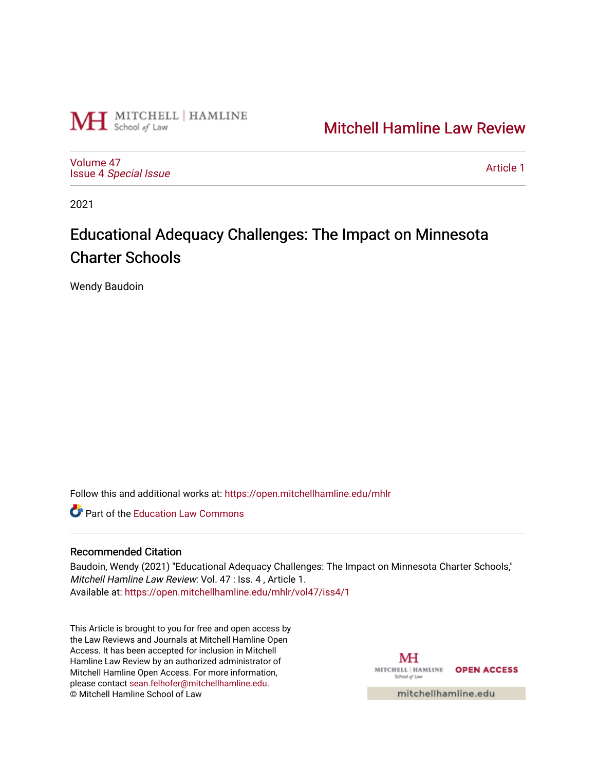

# [Mitchell Hamline Law Review](https://open.mitchellhamline.edu/mhlr)

[Volume 47](https://open.mitchellhamline.edu/mhlr/vol47) Issue 4 [Special Issue](https://open.mitchellhamline.edu/mhlr/vol47/iss4)

[Article 1](https://open.mitchellhamline.edu/mhlr/vol47/iss4/1) 

2021

# Educational Adequacy Challenges: The Impact on Minnesota Charter Schools

Wendy Baudoin

Follow this and additional works at: [https://open.mitchellhamline.edu/mhlr](https://open.mitchellhamline.edu/mhlr?utm_source=open.mitchellhamline.edu%2Fmhlr%2Fvol47%2Fiss4%2F1&utm_medium=PDF&utm_campaign=PDFCoverPages) 

**Part of the Education Law Commons** 

# Recommended Citation

Baudoin, Wendy (2021) "Educational Adequacy Challenges: The Impact on Minnesota Charter Schools," Mitchell Hamline Law Review: Vol. 47 : Iss. 4 , Article 1. Available at: [https://open.mitchellhamline.edu/mhlr/vol47/iss4/1](https://open.mitchellhamline.edu/mhlr/vol47/iss4/1?utm_source=open.mitchellhamline.edu%2Fmhlr%2Fvol47%2Fiss4%2F1&utm_medium=PDF&utm_campaign=PDFCoverPages) 

This Article is brought to you for free and open access by the Law Reviews and Journals at Mitchell Hamline Open Access. It has been accepted for inclusion in Mitchell Hamline Law Review by an authorized administrator of Mitchell Hamline Open Access. For more information, please contact [sean.felhofer@mitchellhamline.edu.](mailto:sean.felhofer@mitchellhamline.edu) © Mitchell Hamline School of Law

MH MITCHELL | HAMLINE OPEN ACCESS School of Law

mitchellhamline.edu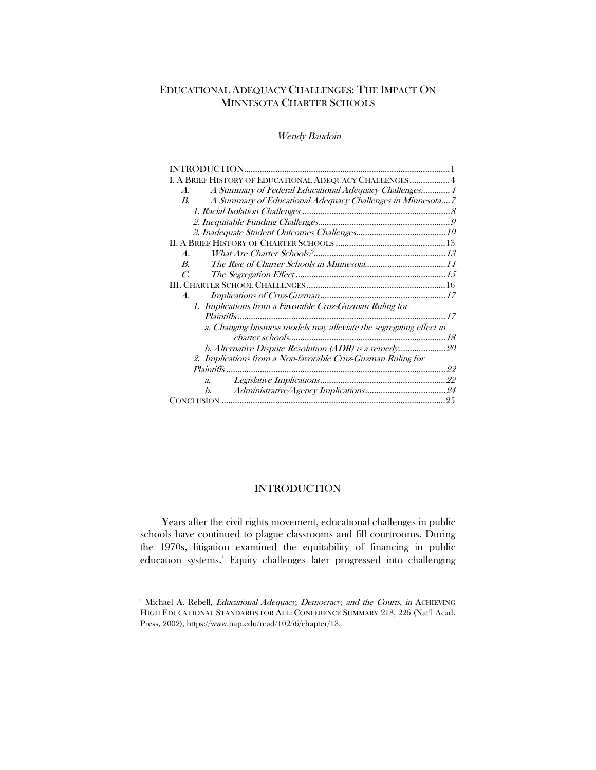# EDUCATIONAL ADEQUACY CHALLENGES: THE IMPACT ON MINNESOTA CHARTER SCHOOLS

Wendy Baudoin

# INTRODUCTION

<span id="page-1-0"></span>Years after the civil rights movement, educational challenges in public schools have continued to plague classrooms and fill courtrooms. During the 1970s, litigation examined the equitability of financing in public education systems.<sup>[1](#page-1-1)</sup> Equity challenges later progressed into challenging

<span id="page-1-1"></span><sup>&</sup>lt;sup>1</sup> Michael A. Rebell, *Educational Adequacy, Democracy, and the Courts*, *in* ACHIEVING HIGH EDUCATIONAL STANDARDS FOR ALL: CONFERENCE SUMMARY 218, 226 (Nat'l Acad. Press, 2002), https://www.nap.edu/read/10256/chapter/13.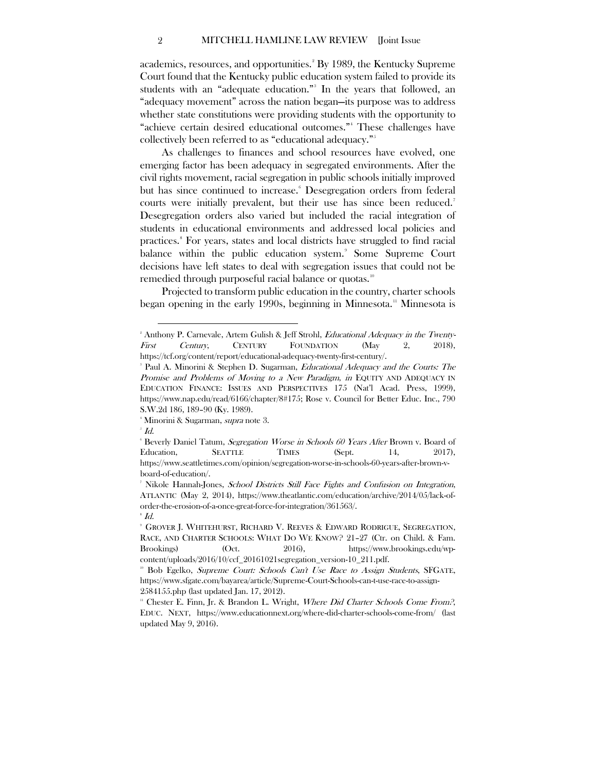academics, resources, and opportunities.<sup>[2](#page-2-0)</sup> By 1989, the Kentucky Supreme Court found that the Kentucky public education system failed to provide its students with an "adequate education." [3](#page-2-1) In the years that followed, an "adequacy movement" across the nation began—its purpose was to address whether state constitutions were providing students with the opportunity to "achieve certain desired educational outcomes." [4](#page-2-2) These challenges have collectively been referred to as "educational adequacy." [5](#page-2-3)

As challenges to finances and school resources have evolved, one emerging factor has been adequacy in segregated environments. After the civil rights movement, racial segregation in public schools initially improved but has since continued to increase. [6](#page-2-4) Desegregation orders from federal courts were initially prevalent, but their use has since been reduced. [7](#page-2-5) Desegregation orders also varied but included the racial integration of students in educational environments and addressed local policies and practices. [8](#page-2-6) For years, states and local districts have struggled to find racial balance within the public education system.<sup>[9](#page-2-7)</sup> Some Supreme Court decisions have left states to deal with segregation issues that could not be remedied through purposeful racial balance or quotas.<sup>[10](#page-2-8)</sup>

Projected to transform public education in the country, charter schools began opening in the early 1990s, beginning in Minnesota.<sup>[11](#page-2-9)</sup> Minnesota is

<span id="page-2-0"></span><sup>&</sup>lt;sup>2</sup> Anthony P. Carnevale, Artem Gulish & Jeff Strohl, *Educational Adequacy in the Twenty-*First Century, CENTURY FOUNDATION (May 2, 2018), https://tcf.org/content/report/educational-adequacy-twenty-first-century/.

<span id="page-2-1"></span><sup>&</sup>lt;sup>3</sup> Paul A. Minorini & Stephen D. Sugarman, *Educational Adequacy and the Courts: The* Promise and Problems of Moving to a New Paradigm, in EQUITY AND ADEQUACY IN EDUCATION FINANCE: ISSUES AND PERSPECTIVES 175 (Nat'l Acad. Press, 1999), https://www.nap.edu/read/6166/chapter/8#175; Rose v. Council for Better Educ. Inc., 790 S.W.2d 186, 189–90 (Ky. 1989).

 $^4$  Minorini & Sugarman, *supra* note 3.<br> $^5$   $\overline{L}$ 

<span id="page-2-2"></span> $\overline{\phantom{a}}^{\scriptscriptstyle 5}$  Id.

<span id="page-2-4"></span><span id="page-2-3"></span><sup>&</sup>lt;sup>6</sup> Beverly Daniel Tatum, *Segregation Worse in Schools 60 Years After* Brown v. Board of Education, SEATTLE TIMES (Sept. 14, 2017), https://www.seattletimes.com/opinion/segregation-worse-in-schools-60-years-after-brown-vboard-of-education/.

<span id="page-2-5"></span><sup>&</sup>lt;sup>7</sup> Nikole Hannah-Jones, *School Districts Still Face Fights and Confusion on Integration*, ATLANTIC (May 2, 2014), https://www.theatlantic.com/education/archive/2014/05/lack-oforder-the-erosion-of-a-once-great-force-for-integration/361563/.  $^{\circ}$  Id.

<span id="page-2-7"></span><span id="page-2-6"></span><sup>9</sup> GROVER J. WHITEHURST, RICHARD V. REEVES & EDWARD RODRIGUE, SEGREGATION, RACE, AND CHARTER SCHOOLS: WHAT DO WE KNOW? 21-27 (Ctr. on Child. & Fam. Brookings) (Oct. 2016), https://www.brookings.edu/wp-

<span id="page-2-8"></span>content/uploads/2016/10/ccf\_20161021segregation\_version-10\_211.pdf.<br>
<sup>10</sup> Bob Egelko, *Supreme Court: Schools Can't Use Race to Assign Students*, SFGATE, https://www.sfgate.com/bayarea/article/Supreme-Court-Schools-can-t-use-race-to-assign-2584155.php (last updated Jan. 17, 2012).

<span id="page-2-9"></span><sup>11</sup> Chester E. Finn, Jr. & Brandon L. Wright, Where Did Charter Schools Come From?, EDUC. NEXT, https://www.educationnext.org/where-did-charter-schools-come-from/ (last updated May 9, 2016).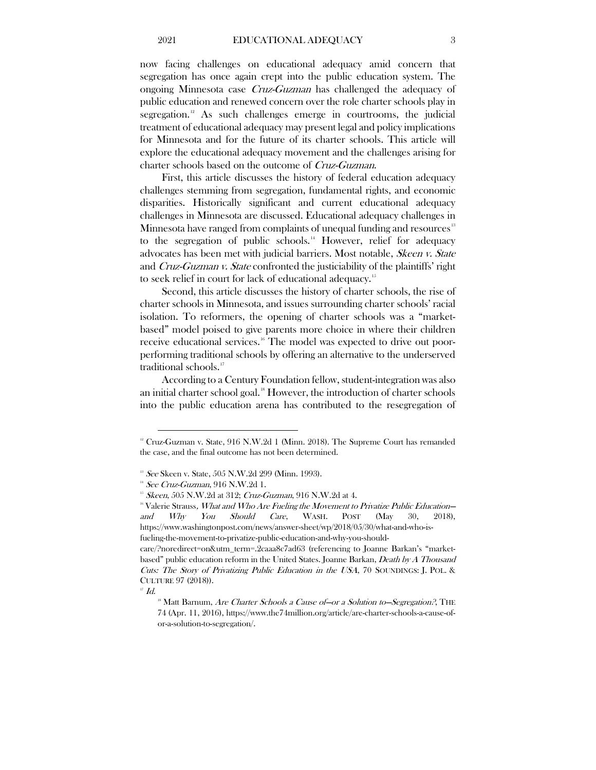now facing challenges on educational adequacy amid concern that segregation has once again crept into the public education system. The ongoing Minnesota case Cruz-Guzman has challenged the adequacy of public education and renewed concern over the role charter schools play in segregation.<sup>[12](#page-3-0)</sup> As such challenges emerge in courtrooms, the judicial treatment of educational adequacy may present legal and policy implications for Minnesota and for the future of its charter schools. This article will explore the educational adequacy movement and the challenges arising for charter schools based on the outcome of Cruz-Guzman.

First, this article discusses the history of federal education adequacy challenges stemming from segregation, fundamental rights, and economic disparities. Historically significant and current educational adequacy challenges in Minnesota are discussed. Educational adequacy challenges in Minnesota have ranged from complaints of unequal funding and resources<sup>[13](#page-3-1)</sup> to the segregation of public schools.<sup>[14](#page-3-2)</sup> However, relief for adequacy advocates has been met with judicial barriers. Most notable, Skeen v. State and Cruz-Guzman v. State confronted the justiciability of the plaintiffs' right to seek relief in court for lack of educational adequacy.<sup>[15](#page-3-3)</sup>

Second, this article discusses the history of charter schools, the rise of charter schools in Minnesota, and issues surrounding charter schools' racial isolation. To reformers, the opening of charter schools was a "marketbased" model poised to give parents more choice in where their children receive educational services.[16](#page-3-4) The model was expected to drive out poorperforming traditional schools by offering an alternative to the underserved traditional schools.<sup>[17](#page-3-5)</sup>

According to a Century Foundation fellow, student-integration was also an initial charter school goal. $18$  However, the introduction of charter schools into the public education arena has contributed to the resegregation of

<span id="page-3-0"></span><sup>&</sup>lt;sup>12</sup> Cruz-Guzman v. State, 916 N.W.2d 1 (Minn. 2018). The Supreme Court has remanded the case, and the final outcome has not been determined.

<span id="page-3-1"></span> $13$  See Skeen v. State, 505 N.W.2d 299 (Minn. 1993).

<span id="page-3-2"></span> $14$  See Cruz-Guzman, 916 N.W.2d 1.

 $15$  Skeen, 505 N.W.2d at 312; Cruz-Guzman, 916 N.W.2d at 4.

<span id="page-3-4"></span><span id="page-3-3"></span><sup>&</sup>lt;sup>16</sup> Valerie Strauss, *What and Who Are Fueling the Movement to Privatize Public Education* and Why You Should Care, WASH. POST (May 30, 2018), https://www.washingtonpost.com/news/answer-sheet/wp/2018/05/30/what-and-who-isfueling-the-movement-to-privatize-public-education-and-why-you-should-

care/?noredirect=on&utm\_term=.2caaa8c7ad63 (referencing to Joanne Barkan's "marketbased" public education reform in the United States. Joanne Barkan, Death by A Thousand Cuts: The Story of Privatizing Public Education in the USA, 70 SOUNDINGS: J. POL. & CULTURE 97 (2018)).

<span id="page-3-6"></span><span id="page-3-5"></span> $^{\scriptscriptstyle\mathsf{F}}$  Id.

<sup>&</sup>lt;sup>18</sup> Matt Barnum, *Are Charter Schools a Cause of—or a Solution to—Segregation?*, THE 74 (Apr. 11, 2016), https://www.the74million.org/article/are-charter-schools-a-cause-ofor-a-solution-to-segregation/.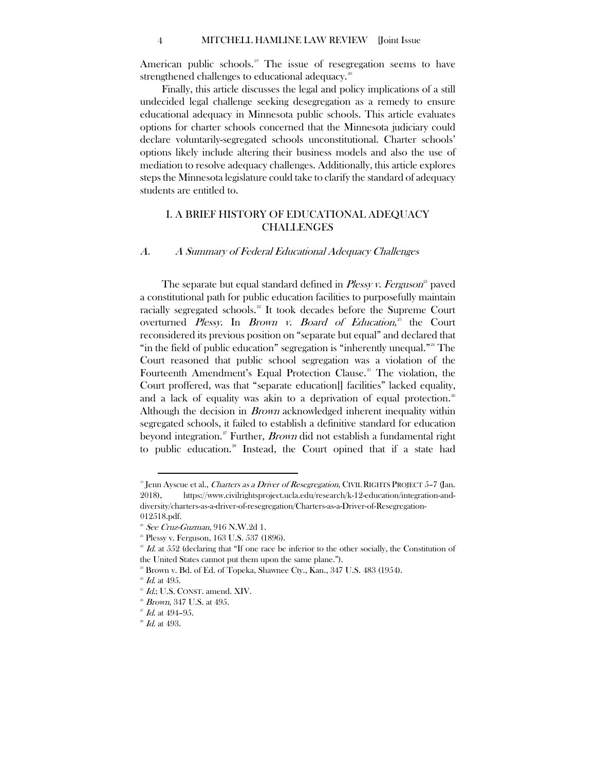American public schools.<sup>[19](#page-4-2)</sup> The issue of resegregation seems to have strengthened challenges to educational adequacy.<sup>[20](#page-4-3)</sup>

Finally, this article discusses the legal and policy implications of a still undecided legal challenge seeking desegregation as a remedy to ensure educational adequacy in Minnesota public schools. This article evaluates options for charter schools concerned that the Minnesota judiciary could declare voluntarily-segregated schools unconstitutional. Charter schools' options likely include altering their business models and also the use of mediation to resolve adequacy challenges. Additionally, this article explores steps the Minnesota legislature could take to clarify the standard of adequacy students are entitled to.

# <span id="page-4-0"></span>I. A BRIEF HISTORY OF EDUCATIONAL ADEQUACY CHALLENGES

# <span id="page-4-1"></span>A. A Summary of Federal Educational Adequacy Challenges

The separate but equal standard defined in *Plessy v. Ferguson*<sup>[21](#page-4-4)</sup> paved a constitutional path for public education facilities to purposefully maintain racially segregated schools.<sup>[22](#page-4-5)</sup> It took decades before the Supreme Court overturned *Plessy*. In *Brown v. Board of Education*,<sup>[23](#page-4-6)</sup> the Court reconsidered its previous position on "separate but equal" and declared that "in the field of public education" segregation is "inherently unequal.["24](#page-4-7) The Court reasoned that public school segregation was a violation of the Fourteenth Amendment's Equal Protection Clause.<sup>[25](#page-4-8)</sup> The violation, the Court proffered, was that "separate education[] facilities" lacked equality, and a lack of equality was akin to a deprivation of equal protection.<sup>[26](#page-4-9)</sup> Although the decision in Brown acknowledged inherent inequality within segregated schools, it failed to establish a definitive standard for education beyond integration.<sup>[27](#page-4-10)</sup> Further, *Brown* did not establish a fundamental right to public education.<sup>[28](#page-4-11)</sup> Instead, the Court opined that if a state had

<span id="page-4-2"></span><sup>&</sup>lt;sup>19</sup> Jenn Ayscue et al., *Charters as a Driver of Resegregation*, CIVIL RIGHTS PROJECT 5-7 (Jan. 2018), https://www.civilrightsproject.ucla.edu/research/k-12-education/integration-anddiversity/charters-as-a-driver-of-resegregation/Charters-as-a-Driver-of-Resegregation-012518.pdf.

 $20$  See Cruz-Guzman, 916 N.W.2d 1.

<span id="page-4-3"></span><sup>&</sup>lt;sup>21</sup> Plessy v. Ferguson, 163 U.S. 537 (1896).

<span id="page-4-5"></span><span id="page-4-4"></span> $2^{2}$  Id. at 552 (declaring that "If one race be inferior to the other socially, the Constitution of the United States cannot put them upon the same plane.").

 $2^{\circ}$  Brown v. Bd. of Ed. of Topeka, Shawnee Cty., Kan., 347 U.S. 483 (1954).

<span id="page-4-7"></span><span id="page-4-6"></span> $^{24}$  *Id.* at 49.5.

 $25$  Id.; U.S. CONST. amend. XIV.

<span id="page-4-8"></span> $26$  Brown, 347 U.S. at 495.

<span id="page-4-11"></span><span id="page-4-10"></span><span id="page-4-9"></span> $2^{\circ}$  *Id.* at 494-95.

 $28$  Id. at 493.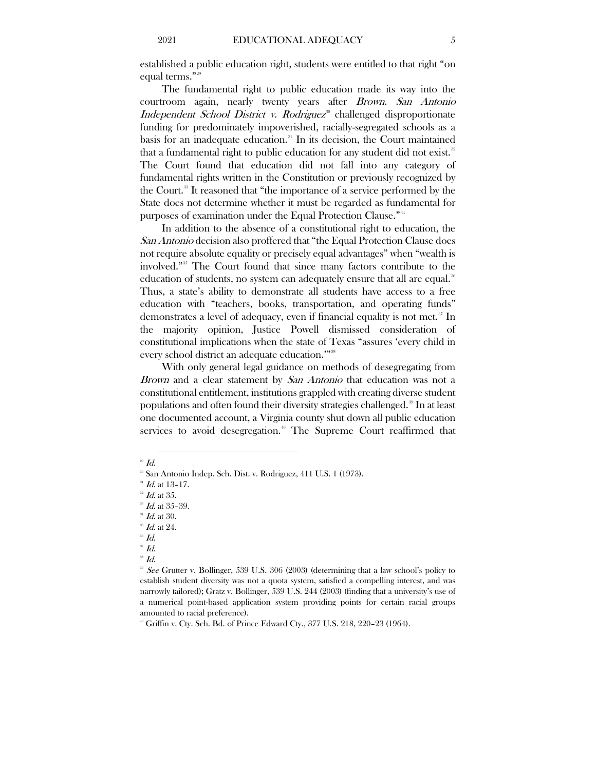established a public education right, students were entitled to that right "on equal terms." [29](#page-5-0)

The fundamental right to public education made its way into the courtroom again, nearly twenty years after Brown. San Antonio Independent School District v. Rodriguez<sup>[30](#page-5-1)</sup> challenged disproportionate funding for predominately impoverished, racially-segregated schools as a basis for an inadequate education.<sup>[31](#page-5-2)</sup> In its decision, the Court maintained that a fundamental right to public education for any student did not exist.<sup>[32](#page-5-3)</sup> The Court found that education did not fall into any category of fundamental rights written in the Constitution or previously recognized by the Court.<sup>[33](#page-5-4)</sup> It reasoned that "the importance of a service performed by the State does not determine whether it must be regarded as fundamental for purposes of examination under the Equal Protection Clause."<sup>[34](#page-5-5)</sup>

In addition to the absence of a constitutional right to education, the San Antonio decision also proffered that "the Equal Protection Clause does not require absolute equality or precisely equal advantages" when "wealth is involved." [35](#page-5-6) The Court found that since many factors contribute to the education of students, no system can adequately ensure that all are equal.<sup>[36](#page-5-7)</sup> Thus, a state's ability to demonstrate all students have access to a free education with "teachers, books, transportation, and operating funds" demonstrates a level of adequacy, even if financial equality is not met. [37](#page-5-8) In the majority opinion, Justice Powell dismissed consideration of constitutional implications when the state of Texas "assures 'every child in every school district an adequate education.""<sup>[38](#page-5-9)</sup>

With only general legal guidance on methods of desegregating from Brown and a clear statement by San Antonio that education was not a constitutional entitlement, institutions grappled with creating diverse student populations and often found their diversity strategies challenged.<sup>[39](#page-5-10)</sup> In at least one documented account, a Virginia county shut down all public education services to avoid desegregation.<sup>[40](#page-5-11)</sup> The Supreme Court reaffirmed that

 $\overline{a}$ 

 $J/d$ .

 $29$  Id.

<span id="page-5-0"></span><sup>30</sup> San Antonio Indep. Sch. Dist. v. Rodriguez, 411 U.S. 1 (1973).

<span id="page-5-3"></span><span id="page-5-2"></span><span id="page-5-1"></span> $^{31}$  *Id.* at 13–17.

<span id="page-5-4"></span> $\frac{32}{3}$  *Id.* at 35-39.

 $34$  Id. at 30.

<span id="page-5-7"></span><span id="page-5-6"></span><span id="page-5-5"></span> $35$  Id. at 24.

<span id="page-5-8"></span> $^{\rm 36}$  Id.

<span id="page-5-9"></span> $38$  Id.

<span id="page-5-10"></span><sup>&</sup>lt;sup>39</sup> See Grutter v. Bollinger, 539 U.S. 306 (2003) (determining that a law school's policy to establish student diversity was not a quota system, satisfied a compelling interest, and was narrowly tailored); Gratz v. Bollinger, 539 U.S. 244 (2003) (finding that a university's use of a numerical point-based application system providing points for certain racial groups amounted to racial preference).

<span id="page-5-11"></span><sup>&</sup>lt;sup>40</sup> Griffin v. Cty. Sch. Bd. of Prince Edward Cty., 377 U.S. 218, 220-23 (1964).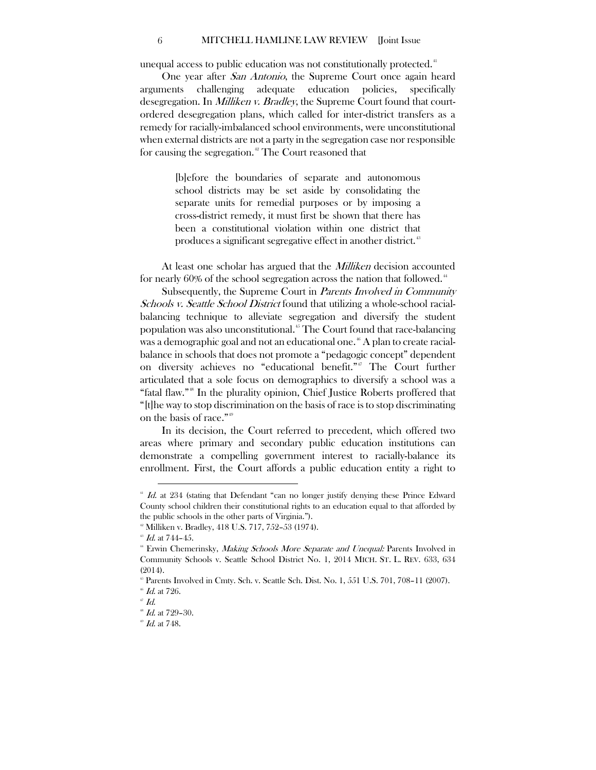#### 6 MITCHELL HAMLINE LAW REVIEW [Joint Issue

unequal access to public education was not constitutionally protected. $^{\textrm{\tiny{4}}}$ 

One year after San Antonio, the Supreme Court once again heard arguments challenging adequate education policies, specifically desegregation. In *Milliken v. Bradley*, the Supreme Court found that courtordered desegregation plans, which called for inter-district transfers as a remedy for racially-imbalanced school environments, were unconstitutional when external districts are not a party in the segregation case nor responsible for causing the segregation.<sup>[42](#page-6-1)</sup> The Court reasoned that

> [b]efore the boundaries of separate and autonomous school districts may be set aside by consolidating the separate units for remedial purposes or by imposing a cross-district remedy, it must first be shown that there has been a constitutional violation within one district that produces a significant segregative effect in another district.<sup>[43](#page-6-2)</sup>

At least one scholar has argued that the *Milliken* decision accounted for nearly  $60\%$  of the school segregation across the nation that followed.<sup>[44](#page-6-3)</sup>

Subsequently, the Supreme Court in *Parents Involved in Community* Schools v. Seattle School District found that utilizing a whole-school racialbalancing technique to alleviate segregation and diversify the student population was also unconstitutional.[45](#page-6-4) The Court found that race-balancing was a demographic goal and not an educational one.<sup>[46](#page-6-5)</sup> A plan to create racialbalance in schools that does not promote a "pedagogic concept" dependent on diversity achieves no "educational benefit."<sup>[47](#page-6-6)</sup> The Court further articulated that a sole focus on demographics to diversify a school was a "fatal flaw."[48](#page-6-7) In the plurality opinion, Chief Justice Roberts proffered that "[t]he way to stop discrimination on the basis of race is to stop discriminating on the basis of race." [49](#page-6-8)

In its decision, the Court referred to precedent, which offered two areas where primary and secondary public education institutions can demonstrate a compelling government interest to racially-balance its enrollment. First, the Court affords a public education entity a right to

<span id="page-6-0"></span> $^{41}$  Id. at 234 (stating that Defendant "can no longer justify denying these Prince Edward County school children their constitutional rights to an education equal to that afforded by the public schools in the other parts of Virginia.").

<sup>&</sup>lt;sup>42</sup> Milliken v. Bradley, 418 U.S. 717, 752–53 (1974).

<span id="page-6-1"></span> $^\mathrm{s}$  Id. at 744-45.

<span id="page-6-3"></span><span id="page-6-2"></span><sup>&</sup>lt;sup>44</sup> Erwin Chemerinsky, Making Schools More Separate and Unequal: Parents Involved in Community Schools v. Seattle School District No. 1, 2014 MICH. ST. L. REV. 633, 634 (2014).

 $45$  Parents Involved in Cmty. Sch. v. Seattle Sch. Dist. No. 1,  $551$  U.S. 701, 708–11 (2007).

<span id="page-6-6"></span><span id="page-6-5"></span><span id="page-6-4"></span> $^{46}$  *Id.* at 726.<br> $^{47}$  *Id.* 

<span id="page-6-7"></span> $^{48}$  *Id.* at 729-30.

<span id="page-6-8"></span> $^{49}$  *Id.* at 748.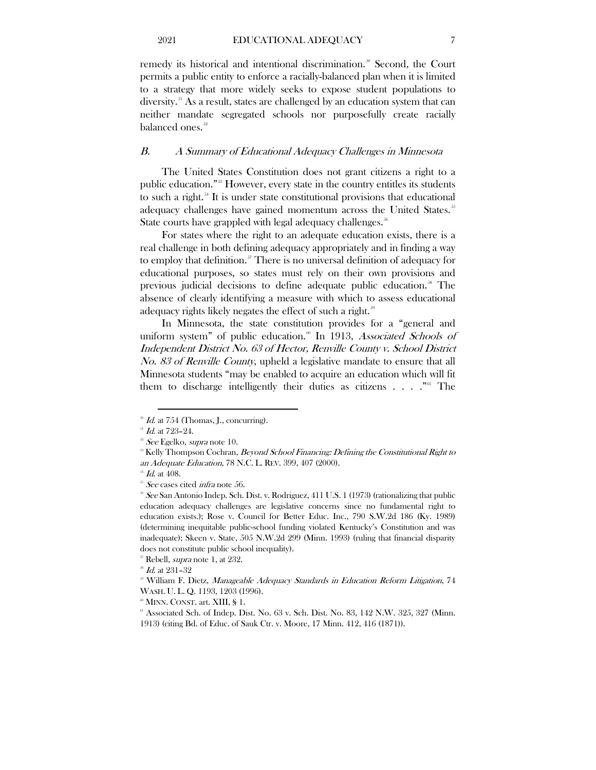remedy its historical and intentional discrimination.<sup>30</sup> Second, the Court permits a public entity to enforce a racially-balanced plan when it is limited to a strategy that more widely seeks to expose student populations to diversity. [51](#page-7-2) As a result, states are challenged by an education system that can neither mandate segregated schools nor purposefully create racially balanced ones.<sup>[52](#page-7-3)</sup>

#### <span id="page-7-0"></span>B. A Summary of Educational Adequacy Challenges in Minnesota

The United States Constitution does not grant citizens a right to a public education."[53](#page-7-4) However, every state in the country entitles its students to such a right. [54](#page-7-5) It is under state constitutional provisions that educational adequacy challenges have gained momentum across the United States.<sup>[55](#page-7-6)</sup> State courts have grappled with legal adequacy challenges.<sup>[56](#page-7-7)</sup>

For states where the right to an adequate education exists, there is a real challenge in both defining adequacy appropriately and in finding a way to employ that definition. [57](#page-7-8) There is no universal definition of adequacy for educational purposes, so states must rely on their own provisions and previous judicial decisions to define adequate public education.<sup>38</sup> The absence of clearly identifying a measure with which to assess educational adequacy rights likely negates the effect of such a right.<sup>[59](#page-7-10)</sup>

In Minnesota, the state constitution provides for a "general and uniform system" of public education.<sup>[60](#page-7-11)</sup> In 1913, Associated Schools of Independent District No. 63 of Hector, Renville County v. School District No. 83 of Renville County, upheld a legislative mandate to ensure that all Minnesota students "may be enabled to acquire an education which will fit them to discharge intelligently their duties as citizens  $\dots$ .  $\cdot$ <sup>[61](#page-7-12)</sup> The

<span id="page-7-2"></span><span id="page-7-1"></span> $J/d$ . at 754 (Thomas, J., concurring).

 $^{51}$  *Id.* at 723-24.

<sup>&</sup>lt;sup>32</sup> *See* Egelko, *supra* note 10.

<span id="page-7-4"></span><span id="page-7-3"></span> $\frac{3}{5}$  Kelly Thompson Cochran, *Beyond School Financing: Defining the Constitutional Right to* an Adequate Education, 78 N.C. L. REV. 399, 407 (2000).

 $^{54}$  *Id.* at 408.

<span id="page-7-6"></span><span id="page-7-5"></span><sup>&</sup>lt;sup>55</sup> See cases cited *infra* note 56.

<span id="page-7-7"></span> $\degree$  See San Antonio Indep. Sch. Dist. v. Rodriguez, 411 U.S. 1 (1973) (rationalizing that public education adequacy challenges are legislative concerns since no fundamental right to education exists.); Rose v. Council for Better Educ. Inc., 790 S.W.2d 186 (Ky. 1989) (determining inequitable public-school funding violated Kentucky's Constitution and was inadequate); Skeen v. State, 505 N.W.2d 299 (Minn. 1993) (ruling that financial disparity does not constitute public school inequality).

<span id="page-7-8"></span> $57$  Rebell, *supra* note 1, at 232.

<span id="page-7-9"></span> $^{\circ}$  Id. at 231–32

<span id="page-7-10"></span><sup>&</sup>lt;sup>39</sup> William F. Dietz, Manageable Adequacy Standards in Education Reform Litigation, 74 WASH. U. L. Q. 1193, 1203 (1996).

<span id="page-7-11"></span> $^{\circ\circ}$  MINN. CONST. art. XIII, § 1.

<span id="page-7-12"></span> $61$  Associated Sch. of Indep. Dist. No. 63 v. Sch. Dist. No. 83, 142 N.W. 325, 327 (Minn. 1913) (citing Bd. of Educ. of Sauk Ctr. v. Moore, 17 Minn. 412, 416 (1871)).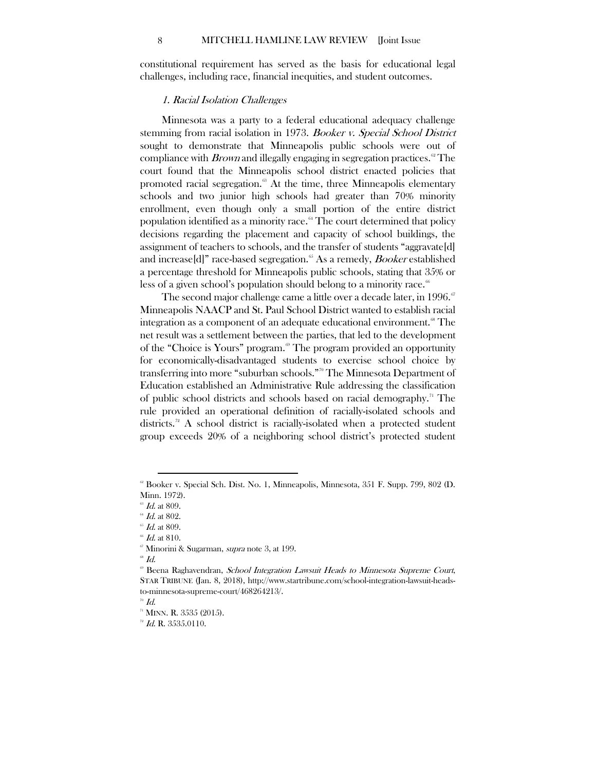<span id="page-8-0"></span>constitutional requirement has served as the basis for educational legal challenges, including race, financial inequities, and student outcomes.

#### 1. Racial Isolation Challenges

Minnesota was a party to a federal educational adequacy challenge stemming from racial isolation in 1973. Booker v. Special School District sought to demonstrate that Minneapolis public schools were out of compliance with *Brown* and illegally engaging in segregation practices.<sup>[62](#page-8-1)</sup> The court found that the Minneapolis school district enacted policies that promoted racial segregation. $68$  At the time, three Minneapolis elementary schools and two junior high schools had greater than 70% minority enrollment, even though only a small portion of the entire district population identified as a minority race.<sup>[64](#page-8-3)</sup> The court determined that policy decisions regarding the placement and capacity of school buildings, the assignment of teachers to schools, and the transfer of students "aggravate[d] and increase [d]" race-based segregation.<sup>[65](#page-8-4)</sup> As a remedy, *Booker* established a percentage threshold for Minneapolis public schools, stating that 35% or less of a given school's population should belong to a minority race.<sup>[66](#page-8-5)</sup>

The second major challenge came a little over a decade later, in 1996. $\degree$ Minneapolis NAACP and St. Paul School District wanted to establish racial integration as a component of an adequate educational environment.<sup><sup>88</sup> The</sup> net result was a settlement between the parties, that led to the development of the "Choice is Yours" program.<sup>®</sup> The program provided an opportunity for economically-disadvantaged students to exercise school choice by transferring into more "suburban schools." [70](#page-8-9) The Minnesota Department of Education established an Administrative Rule addressing the classification of public school districts and schools based on racial demography. [71](#page-8-10) The rule provided an operational definition of racially-isolated schools and districts. [72](#page-8-11) A school district is racially-isolated when a protected student group exceeds 20% of a neighboring school district's protected student

 $\overline{a}$ 

<span id="page-8-7"></span><span id="page-8-6"></span> $^{\circ\circ}$  Id.

<span id="page-8-1"></span> $\textdegree$  Booker v. Special Sch. Dist. No. 1, Minneapolis, Minnesota, 351 F. Supp. 799, 802 (D. Minn. 1972).

 $\mathscr{\mathscr{A}}$  *Id.* at 809.

<span id="page-8-4"></span><span id="page-8-3"></span><span id="page-8-2"></span> $64$  Id. at 802.

 $65$  Id. at 809.

 $^{\circ\circ}$   $Id.$  at 810.

<span id="page-8-5"></span><sup>&</sup>lt;sup>67</sup> Minorini & Sugarman, *supra* note 3, at 199.

<span id="page-8-8"></span>Beena Raghavendran, School Integration Lawsuit Heads to Minnesota Supreme Court, STAR TRIBUNE (Jan. 8, 2018), http://www.startribune.com/school-integration-lawsuit-headsto-minnesota-supreme-court/468264213/.

<span id="page-8-9"></span> $\sqrt[70]{d}$ .

<span id="page-8-10"></span> $n$  MINN. R. 3535 (2015).

<span id="page-8-11"></span> $72$  Id. R. 3535.0110.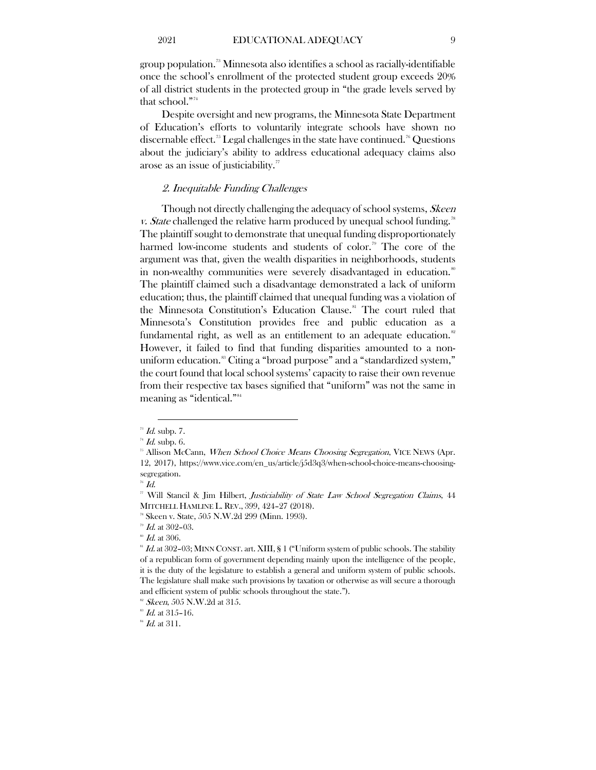group population. [73](#page-9-1) Minnesota also identifies a school as racially-identifiable once the school's enrollment of the protected student group exceeds 20% of all district students in the protected group in "the grade levels served by that school." [74](#page-9-2)

Despite oversight and new programs, the Minnesota State Department of Education's efforts to voluntarily integrate schools have shown no discernable effect.<sup>[75](#page-9-3)</sup> Legal challenges in the state have continued.<sup>[76](#page-9-4)</sup> Questions about the judiciary's ability to address educational adequacy claims also arose as an issue of justiciability.<sup>[77](#page-9-5)</sup>

# <span id="page-9-0"></span>2. Inequitable Funding Challenges

Though not directly challenging the adequacy of school systems, Skeen v. State challenged the relative harm produced by unequal school funding.<sup>[78](#page-9-6)</sup> The plaintiff sought to demonstrate that unequal funding disproportionately harmed low-income students and students of color.<sup>[79](#page-9-7)</sup> The core of the argument was that, given the wealth disparities in neighborhoods, students in non-wealthy communities were severely disadvantaged in education.<sup>[80](#page-9-8)</sup> The plaintiff claimed such a disadvantage demonstrated a lack of uniform education; thus, the plaintiff claimed that unequal funding was a violation of the Minnesota Constitution's Education Clause.<sup>[81](#page-9-9)</sup> The court ruled that Minnesota's Constitution provides free and public education as a fundamental right, as well as an entitlement to an adequate education.<sup>[82](#page-9-10)</sup> However, it failed to find that funding disparities amounted to a non-uniform education.<sup>[83](#page-9-11)</sup> Citing a "broad purpose" and a "standardized system," the court found that local school systems' capacity to raise their own revenue from their respective tax bases signified that "uniform" was not the same in meaning as "identical."[84](#page-9-12)

<span id="page-9-1"></span> $\overline{a}$  $\overline{5}$  *Id.* subp. 7.

 $H$  Id. subp. 6.

<span id="page-9-3"></span><span id="page-9-2"></span><sup>&</sup>lt;sup>25</sup> Allison McCann, *When School Choice Means Choosing Segregation*, VICE NEWS (Apr. 12, 2017), https://www.vice.com/en\_us/article/j5d3q3/when-school-choice-means-choosingsegregation.

<span id="page-9-4"></span> $\sqrt[76]{1}d.$ 

<span id="page-9-5"></span><sup>77</sup> Will Stancil & Jim Hilbert, Justiciability of State Law School Segregation Claims, 44 MITCHELL HAMLINE L. REV., 399, 424–27 (2018).

<span id="page-9-6"></span><sup>78</sup> Skeen v. State, 505 N.W.2d 299 (Minn. 1993).

 $\overline{5}$  Id. at 302-03.

 $^{\circ\!\!\!\!}$   $Id.$  at 306.

<span id="page-9-9"></span><span id="page-9-8"></span><span id="page-9-7"></span><sup>&</sup>lt;sup>81</sup> Id. at 302-03; MINN CONST. art. XIII, § 1 ("Uniform system of public schools. The stability of a republican form of government depending mainly upon the intelligence of the people, it is the duty of the legislature to establish a general and uniform system of public schools. The legislature shall make such provisions by taxation or otherwise as will secure a thorough and efficient system of public schools throughout the state.").

 $82$  Skeen, 505 N.W.2d at 315.

<span id="page-9-11"></span><span id="page-9-10"></span> $^{88}$  *Id.* at 315-16.

<span id="page-9-12"></span> $^{84}$  *Id.* at 311.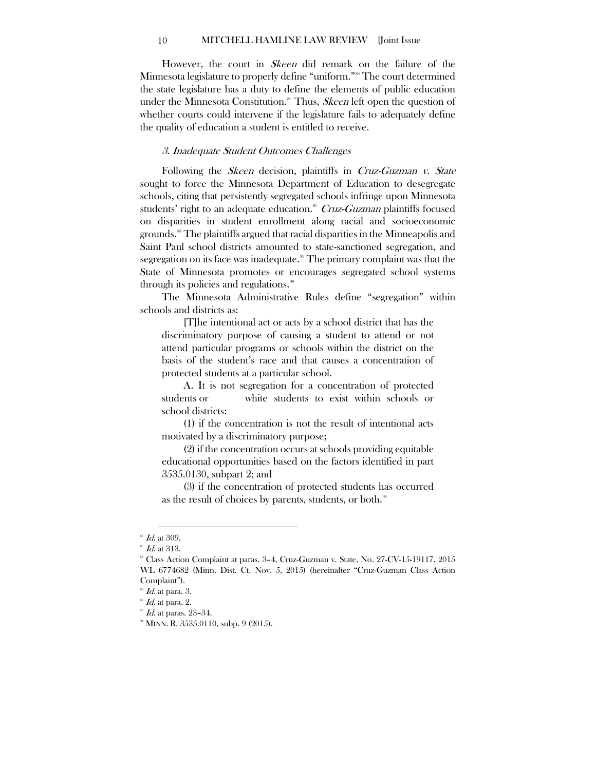#### 10 MITCHELL HAMLINE LAW REVIEW [Joint Issue

However, the court in Skeen did remark on the failure of the Minnesota legislature to properly define "uniform."<sup>[85](#page-10-1)</sup> The court determined the state legislature has a duty to define the elements of public education under the Minnesota Constitution.<sup>[86](#page-10-2)</sup> Thus, *Skeen* left open the question of whether courts could intervene if the legislature fails to adequately define the quality of education a student is entitled to receive.

#### <span id="page-10-0"></span>3. Inadequate Student Outcomes Challenges

Following the *Skeen* decision, plaintiffs in *Cruz-Guzman v. State* sought to force the Minnesota Department of Education to desegregate schools, citing that persistently segregated schools infringe upon Minnesota students' right to an adequate education.<sup>[87](#page-10-3)</sup> Cruz-Guzman plaintiffs focused on disparities in student enrollment along racial and socioeconomic grounds.<sup>[88](#page-10-4)</sup> The plaintiffs argued that racial disparities in the Minneapolis and Saint Paul school districts amounted to state-sanctioned segregation, and segregation on its face was inadequate.<sup>[89](#page-10-5)</sup> The primary complaint was that the State of Minnesota promotes or encourages segregated school systems through its policies and regulations.<sup>30</sup>

The Minnesota Administrative Rules define "segregation" within schools and districts as:

[T]he intentional act or acts by a school district that has the discriminatory purpose of causing a student to attend or not attend particular programs or schools within the district on the basis of the student's race and that causes a concentration of protected students at a particular school.

A. It is not segregation for a concentration of protected students or white students to exist within schools or school districts:

(1) if the concentration is not the result of intentional acts motivated by a discriminatory purpose;

(2) if the concentration occurs at schools providing equitable educational opportunities based on the factors identified in part 3535.0130, subpart 2; and

(3) if the concentration of protected students has occurred as the result of choices by parents, students, or both.<sup>[91](#page-10-7)</sup>

 $\overline{a}$  $^{85}$  Id. at 309.

<span id="page-10-1"></span> $^{86}$  *Id.* at 313.

<span id="page-10-3"></span><span id="page-10-2"></span> $\degree$  Class Action Complaint at paras. 3–4, Cruz-Guzman v. State, No. 27-CV-15-19117, 2015 WL 6774682 (Minn. Dist. Ct. Nov. 5, 2015) (hereinafter "Cruz-Guzman Class Action Complaint").

 $^{88}$  Id. at para. 3.

<span id="page-10-5"></span><span id="page-10-4"></span> $\mathscr{B}$  Id. at para. 2.

<span id="page-10-6"></span> $^{90}$  *Id.* at paras. 23-34.

<span id="page-10-7"></span> $91$  MINN. R. 3535.0110, subp. 9 (2015).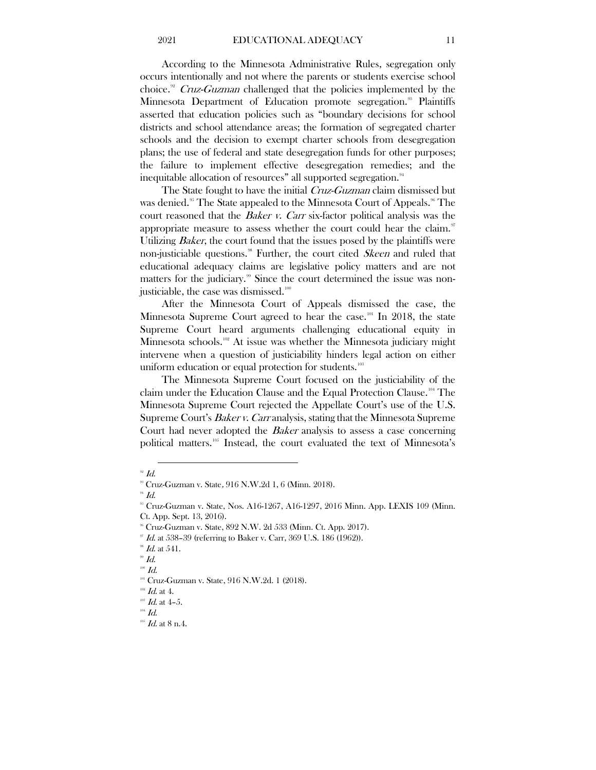According to the Minnesota Administrative Rules, segregation only occurs intentionally and not where the parents or students exercise school choice.<sup>[92](#page-11-0)</sup> Cruz-Guzman challenged that the policies implemented by the Minnesota Department of Education promote segregation.<sup>[93](#page-11-1)</sup> Plaintiffs asserted that education policies such as "boundary decisions for school districts and school attendance areas; the formation of segregated charter schools and the decision to exempt charter schools from desegregation plans; the use of federal and state desegregation funds for other purposes; the failure to implement effective desegregation remedies; and the inequitable allocation of resources" all supported segregation.<sup>[94](#page-11-2)</sup>

The State fought to have the initial *Cruz-Guzman* claim dismissed but was denied. [95](#page-11-3) The State appealed to the Minnesota Court of Appeals. [96](#page-11-4) The court reasoned that the *Baker v. Carr* six-factor political analysis was the appropriate measure to assess whether the court could hear the claim. $\degree$ Utilizing *Baker*, the court found that the issues posed by the plaintiffs were non-justiciable questions.<sup>38</sup> Further, the court cited *Skeen* and ruled that educational adequacy claims are legislative policy matters and are not matters for the judiciary.<sup>[99](#page-11-7)</sup> Since the court determined the issue was nonjusticiable, the case was dismissed. $^{100}$  $^{100}$  $^{100}$ 

After the Minnesota Court of Appeals dismissed the case, the Minnesota Supreme Court agreed to hear the case.<sup>[101](#page-11-9)</sup> In 2018, the state Supreme Court heard arguments challenging educational equity in Minnesota schools.<sup>[102](#page-11-10)</sup> At issue was whether the Minnesota judiciary might intervene when a question of justiciability hinders legal action on either uniform education or equal protection for students.<sup>[103](#page-11-11)</sup>

The Minnesota Supreme Court focused on the justiciability of the claim under the Education Clause and the Equal Protection Clause.[104](#page-11-12) The Minnesota Supreme Court rejected the Appellate Court's use of the U.S. Supreme Court's *Baker v. Carr* analysis, stating that the Minnesota Supreme Court had never adopted the Baker analysis to assess a case concerning political matters.<sup>[105](#page-11-13)</sup> Instead, the court evaluated the text of Minnesota's

 $\overline{a}$ 

<span id="page-11-4"></span><sup>96</sup> Cruz-Guzman v. State, 892 N.W. 2d 533 (Minn. Ct. App. 2017).<br><sup>97</sup> Id. at 538–39 (referring to Baker v. Carr, 369 U.S. 186 (1962)).

<span id="page-11-6"></span><span id="page-11-5"></span> $^{\circ\circ}$   $Id.$  at 541.

 $^{100}$   $\emph{Id.}$ 

<span id="page-11-9"></span> $^{102}$   $\emph{Id.}$  at 4.

<span id="page-11-13"></span><span id="page-11-12"></span><span id="page-11-11"></span> $104$   $Id.$ 

<span id="page-11-1"></span><span id="page-11-0"></span> $92$  Id.

<sup>&</sup>lt;sup>38</sup> Cruz-Guzman v. State, 916 N.W.2d 1, 6 (Minn. 2018).

<span id="page-11-3"></span><span id="page-11-2"></span> $^{94}$  Id.

<sup>95</sup> Cruz-Guzman v. State, Nos. A16-1267, A16-1297, 2016 Minn. App. LEXIS 109 (Minn. Ct. App. Sept. 13, 2016).

<span id="page-11-8"></span><span id="page-11-7"></span> $^{\circ\circ}$  Id.

<sup>&</sup>lt;sup>101</sup> Cruz-Guzman v. State, 916 N.W.2d. 1 (2018).

<span id="page-11-10"></span> $103$  *Id.* at 4-5.

 $105$  *Id.* at 8 n.4.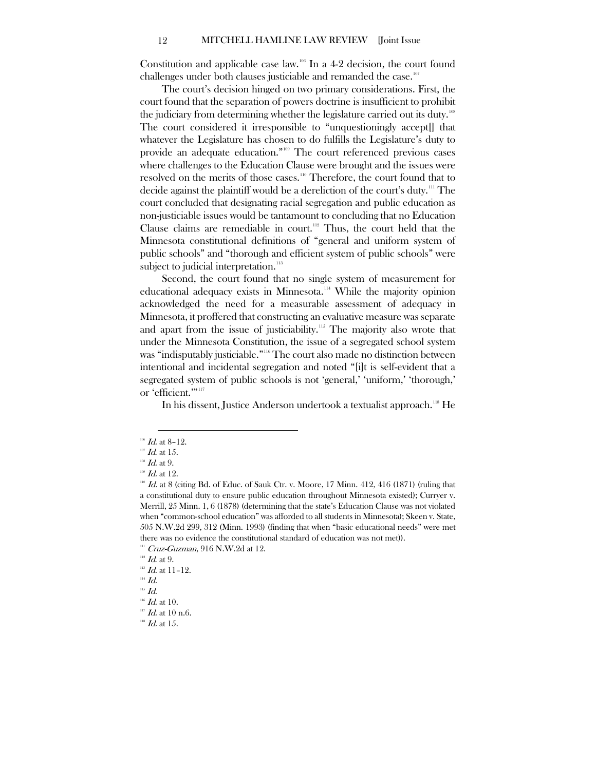Constitution and applicable case law.<sup>[106](#page-12-0)</sup> In a 4-2 decision, the court found challenges under both clauses justiciable and remanded the case. $107$ 

The court's decision hinged on two primary considerations. First, the court found that the separation of powers doctrine is insufficient to prohibit the judiciary from determining whether the legislature carried out its duty.'<sup>08</sup> The court considered it irresponsible to "unquestioningly accept[] that whatever the Legislature has chosen to do fulfills the Legislature's duty to provide an adequate education." [109](#page-12-3) The court referenced previous cases where challenges to the Education Clause were brought and the issues were resolved on the merits of those cases.<sup>[110](#page-12-4)</sup> Therefore, the court found that to decide against the plaintiff would be a dereliction of the court's duty.<sup>[111](#page-12-5)</sup> The court concluded that designating racial segregation and public education as non-justiciable issues would be tantamount to concluding that no Education Clause claims are remediable in court.<sup>[112](#page-12-6)</sup> Thus, the court held that the Minnesota constitutional definitions of "general and uniform system of public schools" and "thorough and efficient system of public schools" were subject to judicial interpretation.<sup>[113](#page-12-7)</sup>

Second, the court found that no single system of measurement for educational adequacy exists in Minnesota.<sup>[114](#page-12-8)</sup> While the majority opinion acknowledged the need for a measurable assessment of adequacy in Minnesota, it proffered that constructing an evaluative measure was separate and apart from the issue of justiciability.<sup>[115](#page-12-9)</sup> The majority also wrote that under the Minnesota Constitution, the issue of a segregated school system was "indisputably justiciable." [116](#page-12-10) The court also made no distinction between intentional and incidental segregation and noted "[i]t is self-evident that a segregated system of public schools is not 'general,' 'uniform,' 'thorough,' or 'efficient.'"<sup>[117](#page-12-11)</sup>

In his dissent, Justice Anderson undertook a textualist approach."<sup>8</sup> He

 $\overline{a}$  $106$  *Id.* at 8-12.

<span id="page-12-1"></span><span id="page-12-0"></span> $107$  *Id.* at 15.

<span id="page-12-2"></span> $^{108}$  *Id.* at 9.

 $109$  *Id.* at 12.

<span id="page-12-4"></span><span id="page-12-3"></span> $10<sup>10</sup>$  Id. at 8 (citing Bd. of Educ. of Sauk Ctr. v. Moore, 17 Minn. 412, 416 (1871) (ruling that a constitutional duty to ensure public education throughout Minnesota existed); Curryer v. Merrill, 25 Minn. 1, 6 (1878) (determining that the state's Education Clause was not violated when "common-school education" was afforded to all students in Minnesota); Skeen v. State, 505 N.W.2d 299, 312 (Minn. 1993) (finding that when "basic educational needs" were met there was no evidence the constitutional standard of education was not met)).

<span id="page-12-5"></span><sup>&</sup>lt;sup>111</sup> Cruz-Guzman, 916 N.W.2d at 12.<br><sup>112</sup> Id. at 9.

<span id="page-12-7"></span><span id="page-12-6"></span>

 $113$  Id. at 11-12.

<span id="page-12-8"></span> $114$  *Id.* 

 $115$  Id.

<span id="page-12-10"></span><span id="page-12-9"></span> $^{116}$  *Id.* at 10.<br> $^{117}$  *Id.* at 10 n.6.

<span id="page-12-11"></span>

<span id="page-12-12"></span> $118$  *Id.* at 15.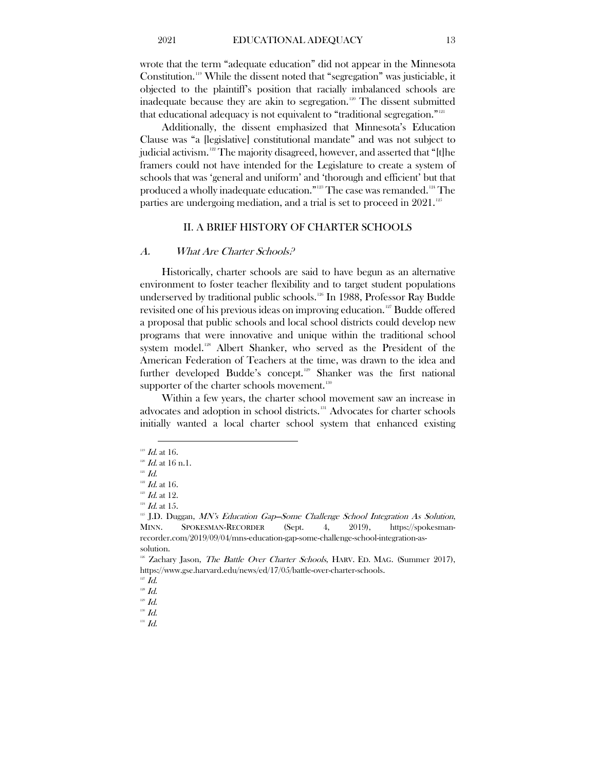wrote that the term "adequate education" did not appear in the Minnesota Constitution.[119](#page-13-2) While the dissent noted that "segregation" was justiciable, it objected to the plaintiff's position that racially imbalanced schools are inadequate because they are akin to segregation.<sup>[120](#page-13-3)</sup> The dissent submitted that educational adequacy is not equivalent to "traditional segregation."<sup>[121](#page-13-4)</sup>

Additionally, the dissent emphasized that Minnesota's Education Clause was "a [legislative] constitutional mandate" and was not subject to judicial activism. [122](#page-13-5) The majority disagreed, however, and asserted that "[t]he framers could not have intended for the Legislature to create a system of schools that was 'general and uniform' and 'thorough and efficient' but that produced a wholly inadequate education."'<sup>[123](#page-13-6)</sup> The case was remanded. <sup>[124](#page-13-7)</sup> The parties are undergoing mediation, and a trial is set to proceed in 2021.<sup>[125](#page-13-8)</sup>

# II. A BRIEF HISTORY OF CHARTER SCHOOLS

#### <span id="page-13-1"></span><span id="page-13-0"></span>A. What Are Charter Schools?

Historically, charter schools are said to have begun as an alternative environment to foster teacher flexibility and to target student populations underserved by traditional public schools.<sup>[126](#page-13-9)</sup> In 1988, Professor Ray Budde revisited one of his previous ideas on improving education.<sup>[127](#page-13-10)</sup> Budde offered a proposal that public schools and local school districts could develop new programs that were innovative and unique within the traditional school system model.<sup>[128](#page-13-11)</sup> Albert Shanker, who served as the President of the American Federation of Teachers at the time, was drawn to the idea and further developed Budde's concept.<sup>[129](#page-13-12)</sup> Shanker was the first national supporter of the charter schools movement.<sup>130</sup>

Within a few years, the charter school movement saw an increase in advocates and adoption in school districts.<sup>[131](#page-13-14)</sup> Advocates for charter schools initially wanted a local charter school system that enhanced existing

 $\overline{a}$  $119$  *Id.* at 16.

<span id="page-13-4"></span><span id="page-13-3"></span><span id="page-13-2"></span> $120$  *Id.* at 16 n.1.

 $^{^{\mathrm{121}}}$   $\mathit{Id}.$ 

<span id="page-13-5"></span> $122$  *Id.* at 16.

<span id="page-13-7"></span><span id="page-13-6"></span> $123$  *Id.* at 12.

 $124$  *Id.* at 15.

<span id="page-13-8"></span><sup>&</sup>lt;sup>125</sup> J.D. Duggan, *MN's Education Gap*—Some Challenge School Integration As Solution, MINN. SPOKESMAN-RECORDER (Sept. 4, 2019), https://spokesmanrecorder.com/2019/09/04/mns-education-gap-some-challenge-school-integration-assolution.

<span id="page-13-9"></span> $126$  Zachary Jason, The Battle Over Charter Schools, HARV. ED. MAG. (Summer 2017), https://www.gse.harvard.edu/news/ed/17/05/battle-over-charter-schools.

 $127$  *Id.* 

<span id="page-13-12"></span><span id="page-13-11"></span><span id="page-13-10"></span> $128$  Id.

<span id="page-13-13"></span> $^{^{\mathrm{129}}}$   $\mathit{Id}.$  $^{130}$   $\emph{Id.}$ 

<span id="page-13-14"></span> $^{131}$   $\emph{Id.}$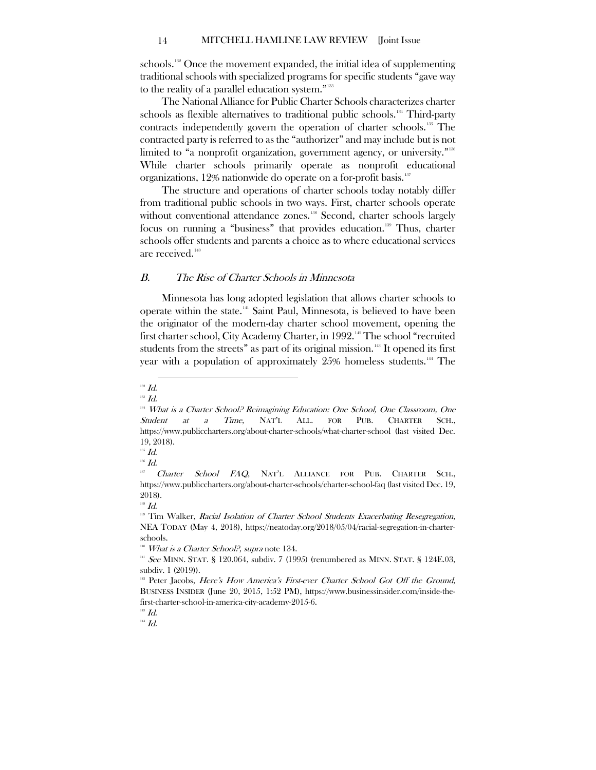schools.<sup>[132](#page-14-1)</sup> Once the movement expanded, the initial idea of supplementing traditional schools with specialized programs for specific students "gave way to the reality of a parallel education system."<sup>[133](#page-14-2)</sup>

The National Alliance for Public Charter Schools characterizes charter schools as flexible alternatives to traditional public schools.<sup>[134](#page-14-3)</sup> Third-party contracts independently govern the operation of charter schools. [135](#page-14-4) The contracted party is referred to as the "authorizer" and may include but is not limited to "a nonprofit organization, government agency, or university." [136](#page-14-5) While charter schools primarily operate as nonprofit educational organizations, 12% nationwide do operate on a for-profit basis.<sup>[137](#page-14-6)</sup>

The structure and operations of charter schools today notably differ from traditional public schools in two ways. First, charter schools operate without conventional attendance zones.<sup>[138](#page-14-7)</sup> Second, charter schools largely focus on running a "business" that provides education.<sup>[139](#page-14-8)</sup> Thus, charter schools offer students and parents a choice as to where educational services are received.<sup>[140](#page-14-9)</sup>

# <span id="page-14-0"></span>B. The Rise of Charter Schools in Minnesota

Minnesota has long adopted legislation that allows charter schools to operate within the state.[141](#page-14-10) Saint Paul, Minnesota, is believed to have been the originator of the modern-day charter school movement, opening the first charter school, City Academy Charter, in 1992.<sup>[142](#page-14-11)</sup> The school "recruited students from the streets" as part of its original mission.<sup>[143](#page-14-12)</sup> It opened its first year with a population of approximately 25% homeless students.<sup>[144](#page-14-13)</sup> The

 $\overline{a}$ 

 $135$  *Id.* 

 $^{138}$   $\emph{Id.}$ 

<span id="page-14-1"></span> $132$  *Id.* 

<span id="page-14-2"></span> $^{133}$   $\emph{Id.}$ 

<span id="page-14-3"></span><sup>&</sup>lt;sup>134</sup> What is a Charter School? Reimagining Education: One School, One Classroom, One Student at a Time, NAT'L ALL. FOR PUB. CHARTER SCH., https://www.publiccharters.org/about-charter-schools/what-charter-school (last visited Dec. 19, 2018).

<span id="page-14-4"></span> $136$  *Id.* 

<span id="page-14-6"></span><span id="page-14-5"></span>Charter School FAQ, NAT'L ALLIANCE FOR PUB. CHARTER SCH., https://www.publiccharters.org/about-charter-schools/charter-school-faq (last visited Dec. 19, 2018).

<span id="page-14-8"></span><span id="page-14-7"></span><sup>&</sup>lt;sup>139</sup> Tim Walker, Racial Isolation of Charter School Students Exacerbating Resegregation, NEA TODAY (May 4, 2018), https://neatoday.org/2018/05/04/racial-segregation-in-charterschools.

<span id="page-14-9"></span> $140$  What is a Charter School?, supra note 134.

<span id="page-14-10"></span> $141$  See MINN. STAT. § 120.064, subdiv. 7 (1995) (renumbered as MINN. STAT. § 124E.03, subdiv. 1 (2019)).

<span id="page-14-11"></span> $142$  Peter Jacobs, Here's How America's First-ever Charter School Got Off the Ground, BUSINESS INSIDER (June 20, 2015, 1:52 PM), https://www.businessinsider.com/inside-thefirst-charter-school-in-america-city-academy-2015-6.

<span id="page-14-13"></span><span id="page-14-12"></span> $^{143}$   $\emph{Id.}$  $144$  *Id.*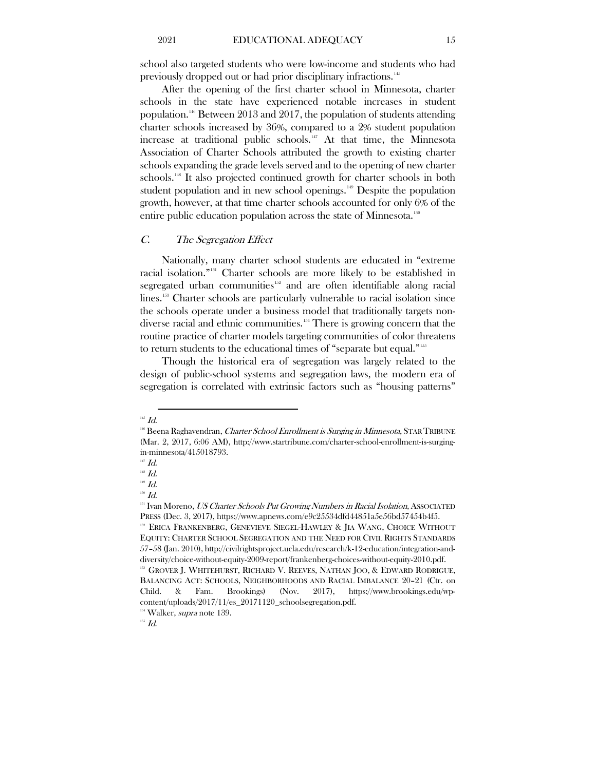school also targeted students who were low-income and students who had previously dropped out or had prior disciplinary infractions.<sup>[145](#page-15-1)</sup>

After the opening of the first charter school in Minnesota, charter schools in the state have experienced notable increases in student population.[146](#page-15-2) Between 2013 and 2017, the population of students attending charter schools increased by 36%, compared to a 2% student population increase at traditional public schools. [147](#page-15-3) At that time, the Minnesota Association of Charter Schools attributed the growth to existing charter schools expanding the grade levels served and to the opening of new charter schools.<sup>[148](#page-15-4)</sup> It also projected continued growth for charter schools in both student population and in new school openings.<sup>[149](#page-15-5)</sup> Despite the population growth, however, at that time charter schools accounted for only 6% of the entire public education population across the state of Minnesota.<sup>[150](#page-15-6)</sup>

## <span id="page-15-0"></span>C. The Segregation Effect

Nationally, many charter school students are educated in "extreme racial isolation."[151](#page-15-7) Charter schools are more likely to be established in segregated urban communities<sup>[152](#page-15-8)</sup> and are often identifiable along racial lines.<sup>[153](#page-15-9)</sup> Charter schools are particularly vulnerable to racial isolation since the schools operate under a business model that traditionally targets nondiverse racial and ethnic communities. [154](#page-15-10) There is growing concern that the routine practice of charter models targeting communities of color threatens to return students to the educational times of "separate but equal."'<sup>555</sup>

Though the historical era of segregation was largely related to the design of public-school systems and segregation laws, the modern era of segregation is correlated with extrinsic factors such as "housing patterns"

 $\overline{a}$ 

 $^{150}\,$   $\!Id.$ 

<span id="page-15-11"></span><span id="page-15-10"></span> $154$  Walker, *supra* note 139.

<span id="page-15-2"></span><span id="page-15-1"></span> $^{145}$   $\emph{Id.}$ 

<sup>&</sup>lt;sup>146</sup> Beena Raghavendran, *Charter School Enrollment is Surging in Minnesota*, STAR TRIBUNE (Mar. 2, 2017, 6:06 AM), http://www.startribune.com/charter-school-enrollment-is-surgingin-minnesota/415018793.

 $147$  *Id.* 

<span id="page-15-3"></span><sup>148</sup> Id.

<span id="page-15-6"></span><span id="page-15-5"></span><span id="page-15-4"></span> $^{149}$   $Id.$ 

<span id="page-15-7"></span><sup>&</sup>lt;sup>151</sup> Ivan Moreno, US Charter Schools Put Growing Numbers in Racial Isolation, ASSOCIATED PRESS (Dec. 3, 2017), https://www.apnews.com/e9c25534dfd44851a5e56bd57454b4f5.

<span id="page-15-8"></span><sup>&</sup>lt;sup>152</sup> ERICA FRANKENBERG, GENEVIEVE SIEGEL-HAWLEY & JIA WANG, CHOICE WITHOUT EQUITY: CHARTER SCHOOL SEGREGATION AND THE NEED FOR CIVIL RIGHTS STANDARDS 57–58 (Jan. 2010), http://civilrightsproject.ucla.edu/research/k-12-education/integration-anddiversity/choice-without-equity-2009-report/frankenberg-choices-without-equity-2010.pdf.

<span id="page-15-9"></span><sup>&</sup>lt;sup>153</sup> GROVER J. WHITEHURST, RICHARD V. REEVES, NATHAN JOO, & EDWARD RODRIGUE, BALANCING ACT: SCHOOLS, NEIGHBORHOODS AND RACIAL IMBALANCE 20-21 (Ctr. on Child. & Fam. Brookings) (Nov. 2017), https://www.brookings.edu/wpcontent/uploads/2017/11/es\_20171120\_schoolsegregation.pdf.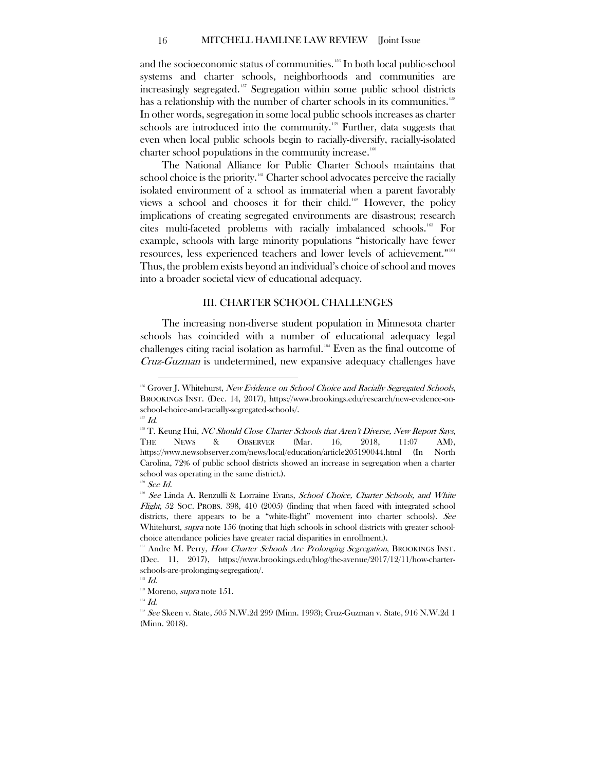#### 16 MITCHELL HAMLINE LAW REVIEW [Joint Issue

and the socioeconomic status of communities.<sup>[156](#page-16-1)</sup> In both local public-school systems and charter schools, neighborhoods and communities are increasingly segregated. [157](#page-16-2) Segregation within some public school districts has a relationship with the number of charter schools in its communities.<sup>[158](#page-16-3)</sup> In other words, segregation in some local public schools increases as charter schools are introduced into the community.<sup>[159](#page-16-4)</sup> Further, data suggests that even when local public schools begin to racially-diversify, racially-isolated charter school populations in the community increase. $160$ 

The National Alliance for Public Charter Schools maintains that school choice is the priority.<sup>[161](#page-16-6)</sup> Charter school advocates perceive the racially isolated environment of a school as immaterial when a parent favorably views a school and chooses it for their child. [162](#page-16-7) However, the policy implications of creating segregated environments are disastrous; research cites multi-faceted problems with racially imbalanced schools[.163](#page-16-8) For example, schools with large minority populations "historically have fewer resources, less experienced teachers and lower levels of achievement." [164](#page-16-9) Thus, the problem exists beyond an individual's choice of school and moves into a broader societal view of educational adequacy.

#### III. CHARTER SCHOOL CHALLENGES

<span id="page-16-0"></span>The increasing non-diverse student population in Minnesota charter schools has coincided with a number of educational adequacy legal challenges citing racial isolation as harmful.<sup>[165](#page-16-10)</sup> Even as the final outcome of Cruz-Guzman is undetermined, new expansive adequacy challenges have

<span id="page-16-1"></span><sup>&</sup>lt;sup>156</sup> Grover J. Whitehurst, New Evidence on School Choice and Racially Segregated Schools, BROOKINGS INST. (Dec. 14, 2017), https://www.brookings.edu/research/new-evidence-onschool-choice-and-racially-segregated-schools/.

 $^{157}$   $\emph{Id.}$ 

<span id="page-16-3"></span><span id="page-16-2"></span> $118$  T. Keung Hui, NC Should Close Charter Schools that Aren't Diverse, New Report Says, THE NEWS & OBSERVER (Mar. 16, 2018, 11:07 AM), https://www.newsobserver.com/news/local/education/article205190044.html (In North Carolina, 72% of public school districts showed an increase in segregation when a charter school was operating in the same district.).

 $159$  See Id.

<span id="page-16-5"></span><span id="page-16-4"></span> $160$  See Linda A. Renzulli & Lorraine Evans, School Choice, Charter Schools, and White *Flight*, 52 Soc. PROBS. 398, 410 (2005) (finding that when faced with integrated school districts, there appears to be a "white-flight" movement into charter schools). See Whitehurst, *supra* note 156 (noting that high schools in school districts with greater schoolchoice attendance policies have greater racial disparities in enrollment.).

<span id="page-16-6"></span><sup>&</sup>lt;sup>161</sup> Andre M. Perry, *How Charter Schools Are Prolonging Segregation*, BROOKINGS INST. (Dec. 11, 2017), https://www.brookings.edu/blog/the-avenue/2017/12/11/how-charterschools-are-prolonging-segregation/.

 $162$  *Id.* 

<span id="page-16-8"></span><span id="page-16-7"></span><sup>&</sup>lt;sup>163</sup> Moreno, *supra* note 151.

<span id="page-16-9"></span> $^{\scriptscriptstyle 164}$   $Id.$ 

<span id="page-16-10"></span> $1^{165}$  See Skeen v. State, 505 N.W.2d 299 (Minn. 1993); Cruz-Guzman v. State, 916 N.W.2d 1 (Minn. 2018).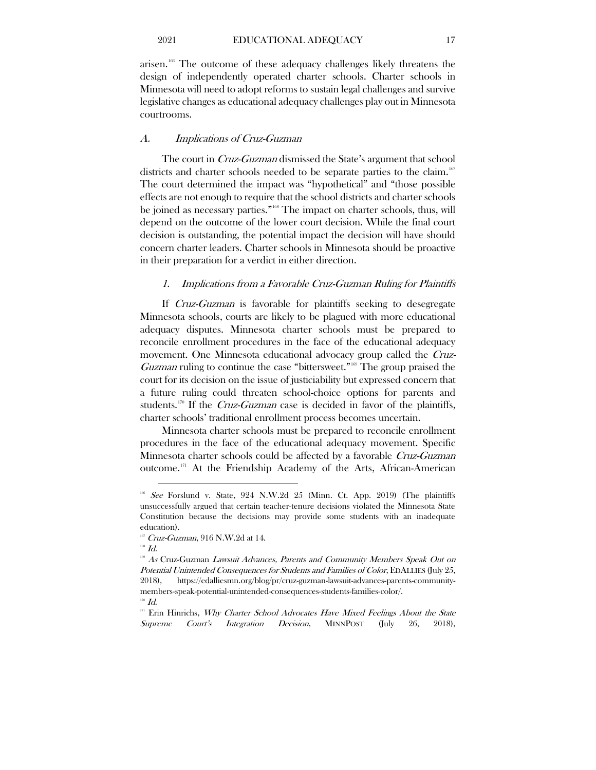arisen. [166](#page-17-2) The outcome of these adequacy challenges likely threatens the design of independently operated charter schools. Charter schools in Minnesota will need to adopt reforms to sustain legal challenges and survive legislative changes as educational adequacy challenges play out in Minnesota courtrooms.

# <span id="page-17-0"></span>A. Implications of Cruz-Guzman

The court in Cruz-Guzman dismissed the State's argument that school districts and charter schools needed to be separate parties to the claim.<sup>[167](#page-17-3)</sup> The court determined the impact was "hypothetical" and "those possible effects are not enough to require that the school districts and charter schools be joined as necessary parties."<sup>[168](#page-17-4)</sup> The impact on charter schools, thus, will depend on the outcome of the lower court decision. While the final court decision is outstanding, the potential impact the decision will have should concern charter leaders. Charter schools in Minnesota should be proactive in their preparation for a verdict in either direction.

# <span id="page-17-1"></span>1. Implications from a Favorable Cruz-Guzman Ruling for Plaintiffs

If Cruz-Guzman is favorable for plaintiffs seeking to desegregate Minnesota schools, courts are likely to be plagued with more educational adequacy disputes. Minnesota charter schools must be prepared to reconcile enrollment procedures in the face of the educational adequacy movement. One Minnesota educational advocacy group called the Cruz-Guzman ruling to continue the case "bittersweet."<sup>60</sup> The group praised the court for its decision on the issue of justiciability but expressed concern that a future ruling could threaten school-choice options for parents and students.<sup>[170](#page-17-6)</sup> If the *Cruz-Guzman* case is decided in favor of the plaintiffs, charter schools' traditional enrollment process becomes uncertain.

Minnesota charter schools must be prepared to reconcile enrollment procedures in the face of the educational adequacy movement. Specific Minnesota charter schools could be affected by a favorable Cruz-Guzman outcome.[171](#page-17-7) At the Friendship Academy of the Arts, African-American

<span id="page-17-2"></span><sup>&</sup>lt;sup>166</sup> See Forslund v. State, 924 N.W.2d 25 (Minn. Ct. App. 2019) (The plaintiffs unsuccessfully argued that certain teacher-tenure decisions violated the Minnesota State Constitution because the decisions may provide some students with an inadequate education).

<span id="page-17-4"></span><span id="page-17-3"></span><sup>&</sup>lt;sup>167</sup> Cruz-Guzman, 916 N.W.2d at 14.<br><sup>168</sup> Id.

<span id="page-17-5"></span><sup>&</sup>lt;sup>169</sup> As Cruz-Guzman Lawsuit Advances, Parents and Community Members Speak Out on Potential Unintended Consequences for Students and Families of Color, EDALLIES (July 25, 2018), https://edalliesmn.org/blog/pr/cruz-guzman-lawsuit-advances-parents-communitymembers-speak-potential-unintended-consequences-students-families-color/.  $170$   $Id.$ 

<span id="page-17-7"></span><span id="page-17-6"></span> $171$ <sup>171</sup> Erin Hinrichs, *Why Charter School Advocates Have Mixed Feelings About the State* Supreme Court's Integration Decision, MINNPOST (July 26, 2018),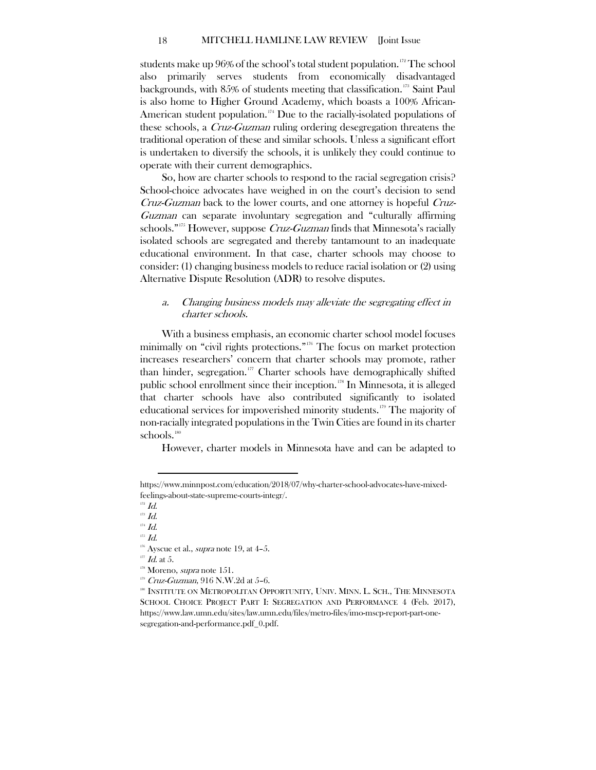students make up  $96\%$  of the school's total student population.<sup>172</sup> The school also primarily serves students from economically disadvantaged backgrounds, with 85% of students meeting that classification. [173](#page-18-2) Saint Paul is also home to Higher Ground Academy, which boasts a 100% African-American student population.<sup>[174](#page-18-3)</sup> Due to the racially-isolated populations of these schools, a Cruz-Guzman ruling ordering desegregation threatens the traditional operation of these and similar schools. Unless a significant effort is undertaken to diversify the schools, it is unlikely they could continue to operate with their current demographics.

So, how are charter schools to respond to the racial segregation crisis? School-choice advocates have weighed in on the court's decision to send Cruz-Guzman back to the lower courts, and one attorney is hopeful Cruz-Guzman can separate involuntary segregation and "culturally affirming schools."<sup>[175](#page-18-4)</sup> However, suppose *Cruz-Guzman* finds that Minnesota's racially isolated schools are segregated and thereby tantamount to an inadequate educational environment. In that case, charter schools may choose to consider: (1) changing business models to reduce racial isolation or (2) using Alternative Dispute Resolution (ADR) to resolve disputes.

# <span id="page-18-0"></span>a. Changing business models may alleviate the segregating effect in charter schools.

With a business emphasis, an economic charter school model focuses minimally on "civil rights protections." [176](#page-18-5) The focus on market protection increases researchers' concern that charter schools may promote, rather than hinder, segregation.<sup>[177](#page-18-6)</sup> Charter schools have demographically shifted public school enrollment since their inception.[178](#page-18-7) In Minnesota, it is alleged that charter schools have also contributed significantly to isolated educational services for impoverished minority students.<sup>[179](#page-18-8)</sup> The majority of non-racially integrated populations in the Twin Cities are found in its charter schools. [180](#page-18-9)

However, charter models in Minnesota have and can be adapted to

 $\overline{a}$ 

<span id="page-18-6"></span> $177$  *Id.* at 5.

 $179$  Cruz-Guzman, 916 N.W. 2d at 5-6.

https://www.minnpost.com/education/2018/07/why-charter-school-advocates-have-mixedfeelings-about-state-supreme-courts-integr/.

 $172$  *Id.* 

<span id="page-18-2"></span><span id="page-18-1"></span> $173$   $Id.$ 

<span id="page-18-3"></span> $^{_{174}}\, \mathrm{Id}.$ 

<span id="page-18-5"></span><span id="page-18-4"></span> $^{175}$   $\emph{Id.}$ 

 $176$  Ayscue et al., *supra* note 19, at 4-5.

<span id="page-18-7"></span> $178$  Moreno, *supra* note 151.

<span id="page-18-9"></span><span id="page-18-8"></span><sup>&</sup>lt;sup>180</sup> INSTITUTE ON METROPOLITAN OPPORTUNITY, UNIV. MINN. L. SCH., THE MINNESOTA SCHOOL CHOICE PROJECT PART I: SEGREGATION AND PERFORMANCE 4 (Feb. 2017), https://www.law.umn.edu/sites/law.umn.edu/files/metro-files/imo-mscp-report-part-onesegregation-and-performance.pdf\_0.pdf.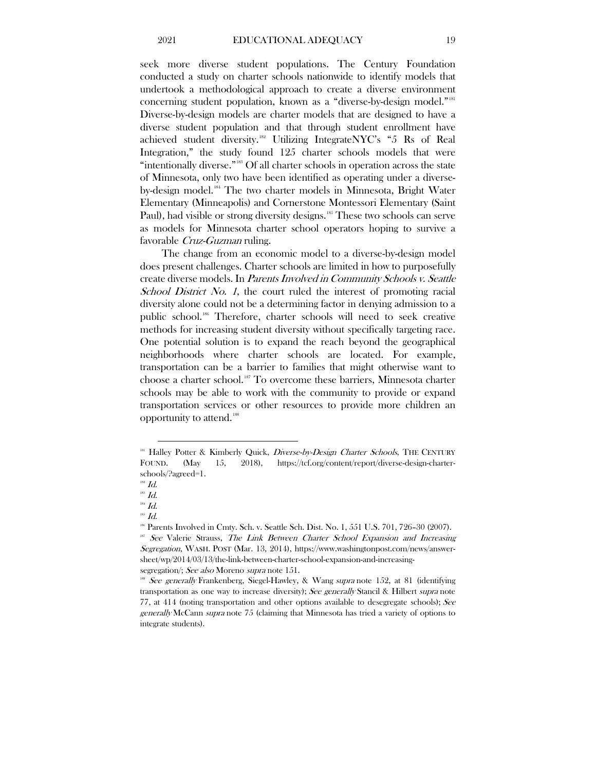seek more diverse student populations. The Century Foundation conducted a study on charter schools nationwide to identify models that undertook a methodological approach to create a diverse environment concerning student population, known as a "diverse-by-design model." [181](#page-19-0) Diverse-by-design models are charter models that are designed to have a diverse student population and that through student enrollment have achieved student diversity.[182](#page-19-1) Utilizing IntegrateNYC's "5 Rs of Real Integration," the study found 125 charter schools models that were "intentionally diverse."<sup>[183](#page-19-2)</sup> Of all charter schools in operation across the state of Minnesota, only two have been identified as operating under a diverse-by-design model.<sup>[184](#page-19-3)</sup> The two charter models in Minnesota, Bright Water Elementary (Minneapolis) and Cornerstone Montessori Elementary (Saint Paul), had visible or strong diversity designs.<sup>[185](#page-19-4)</sup> These two schools can serve as models for Minnesota charter school operators hoping to survive a favorable Cruz-Guzman ruling.

The change from an economic model to a diverse-by-design model does present challenges. Charter schools are limited in how to purposefully create diverse models. In Parents Involved in Community Schools v. Seattle School District No. 1, the court ruled the interest of promoting racial diversity alone could not be a determining factor in denying admission to a public school.<sup>[186](#page-19-5)</sup> Therefore, charter schools will need to seek creative methods for increasing student diversity without specifically targeting race. One potential solution is to expand the reach beyond the geographical neighborhoods where charter schools are located. For example, transportation can be a barrier to families that might otherwise want to choose a charter school.<sup>[187](#page-19-6)</sup> To overcome these barriers, Minnesota charter schools may be able to work with the community to provide or expand transportation services or other resources to provide more children an opportunity to attend. [188](#page-19-7)

<span id="page-19-0"></span><sup>&</sup>lt;sup>181</sup> Halley Potter & Kimberly Quick, *Diverse-by-Design Charter Schools*, THE CENTURY FOUND. (May 15, 2018), https://tcf.org/content/report/diverse-design-charterschools/?agreed=1.

 $182$   $Id.$ 

<span id="page-19-2"></span><span id="page-19-1"></span> $^{183}$   $\emph{Id.}$ 

<span id="page-19-3"></span> $^{\scriptscriptstyle 184}$  Id.

<span id="page-19-5"></span><span id="page-19-4"></span><sup>185</sup> Id.

<sup>&</sup>lt;sup>186</sup> Parents Involved in Cmty. Sch. v. Seattle Sch. Dist. No. 1, 551 U.S. 701, 726-30 (2007).

<span id="page-19-6"></span><sup>&</sup>lt;sup>187</sup> See Valerie Strauss, The Link Between Charter School Expansion and Increasing Segregation, WASH. POST (Mar. 13, 2014), https://www.washingtonpost.com/news/answersheet/wp/2014/03/13/the-link-between-charter-school-expansion-and-increasingsegregation/; See also Moreno supra note 151.

<span id="page-19-7"></span><sup>&</sup>lt;sup>38</sup> See generally Frankenberg, Siegel-Hawley, & Wang supra note 152, at 81 (identifying transportation as one way to increase diversity); See generally Stancil & Hilbert supra note 77, at 414 (noting transportation and other options available to desegregate schools); See generally McCann supra note 75 (claiming that Minnesota has tried a variety of options to integrate students).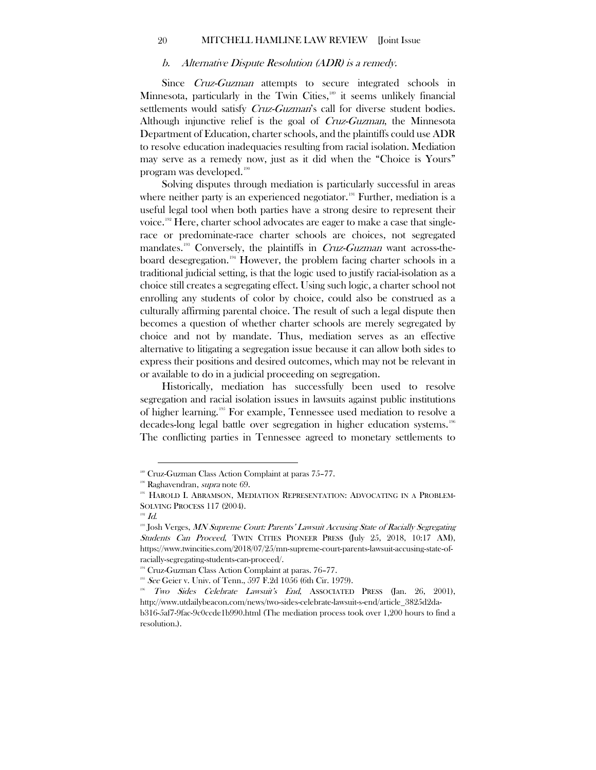#### b. Alternative Dispute Resolution (ADR) is a remedy.

<span id="page-20-0"></span>Since *Cruz-Guzman* attempts to secure integrated schools in Minnesota, particularly in the Twin Cities,<sup>[189](#page-20-1)</sup> it seems unlikely financial settlements would satisfy Cruz-Guzman's call for diverse student bodies. Although injunctive relief is the goal of *Cruz-Guzman*, the Minnesota Department of Education, charter schools, and the plaintiffs could use ADR to resolve education inadequacies resulting from racial isolation. Mediation may serve as a remedy now, just as it did when the "Choice is Yours" program was developed. [190](#page-20-2)

Solving disputes through mediation is particularly successful in areas where neither party is an experienced negotiator. [191](#page-20-3) Further, mediation is a useful legal tool when both parties have a strong desire to represent their voice.[192](#page-20-4) Here, charter school advocates are eager to make a case that singlerace or predominate-race charter schools are choices, not segregated mandates.<sup>[193](#page-20-5)</sup> Conversely, the plaintiffs in *Cruz-Guzman* want across-theboard desegregation. [194](#page-20-6) However, the problem facing charter schools in a traditional judicial setting, is that the logic used to justify racial-isolation as a choice still creates a segregating effect. Using such logic, a charter school not enrolling any students of color by choice, could also be construed as a culturally affirming parental choice. The result of such a legal dispute then becomes a question of whether charter schools are merely segregated by choice and not by mandate. Thus, mediation serves as an effective alternative to litigating a segregation issue because it can allow both sides to express their positions and desired outcomes, which may not be relevant in or available to do in a judicial proceeding on segregation.

Historically, mediation has successfully been used to resolve segregation and racial isolation issues in lawsuits against public institutions of higher learning.[195](#page-20-7) For example, Tennessee used mediation to resolve a decades-long legal battle over segregation in higher education systems. [196](#page-20-8) The conflicting parties in Tennessee agreed to monetary settlements to

<span id="page-20-2"></span><span id="page-20-1"></span><sup>&</sup>lt;sup>189</sup> Cruz-Guzman Class Action Complaint at paras 75–77.<br><sup>190</sup> Raghavendran, *supra* note 69.

<span id="page-20-3"></span><sup>&</sup>lt;sup>191</sup> HAROLD I. ABRAMSON, MEDIATION REPRESENTATION: ADVOCATING IN A PROBLEM-SOLVING PROCESS 117 (2004).

 $192$  *Id.* 

<span id="page-20-5"></span><span id="page-20-4"></span><sup>&</sup>lt;sup>193</sup> Josh Verges, MN Supreme Court: Parents' Lawsuit Accusing State of Racially Segregating Students Can Proceed, TWIN CITIES PIONEER PRESS (July 25, 2018, 10:17 AM), https://www.twincities.com/2018/07/25/mn-supreme-court-parents-lawsuit-accusing-state-ofracially-segregating-students-can-proceed/.

<sup>&</sup>lt;sup>194</sup> Cruz-Guzman Class Action Complaint at paras. 76–77.

<span id="page-20-6"></span> $195$  See Geier v. Univ. of Tenn., 597 F.2d 1056 (6th Cir. 1979).

<span id="page-20-8"></span><span id="page-20-7"></span><sup>196</sup> Two Sides Celebrate Lawsuit's End, ASSOCIATED PRESS (Jan. 26, 2001), http://www.utdailybeacon.com/news/two-sides-celebrate-lawsuit-s-end/article\_3825d2dab316-5af7-9fac-9c0ccde1b990.html (The mediation process took over 1,200 hours to find a

resolution.).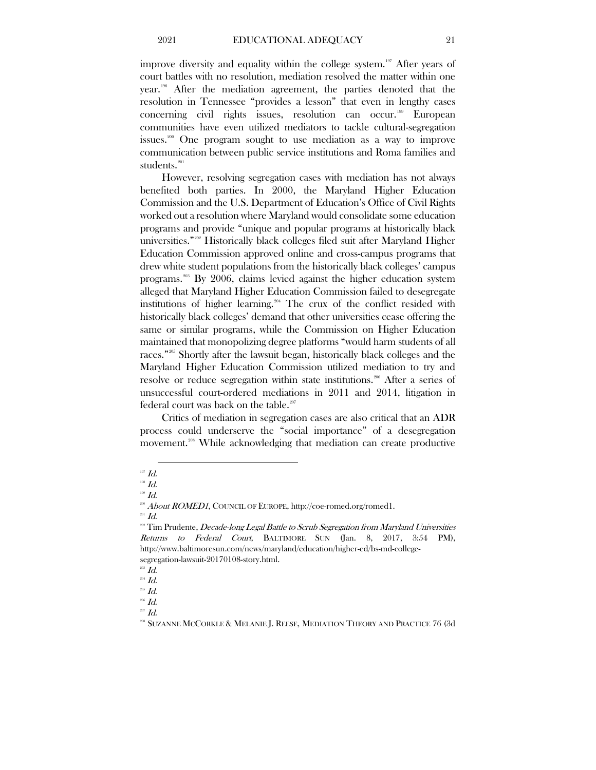improve diversity and equality within the college system.<sup>[197](#page-21-0)</sup> After years of court battles with no resolution, mediation resolved the matter within one year.[198](#page-21-1) After the mediation agreement, the parties denoted that the resolution in Tennessee "provides a lesson" that even in lengthy cases concerning civil rights issues, resolution can occur. [199](#page-21-2) European communities have even utilized mediators to tackle cultural-segregation issues.[200](#page-21-3) One program sought to use mediation as a way to improve communication between public service institutions and Roma families and students.<sup>[201](#page-21-4)</sup>

However, resolving segregation cases with mediation has not always benefited both parties. In 2000, the Maryland Higher Education Commission and the U.S. Department of Education's Office of Civil Rights worked out a resolution where Maryland would consolidate some education programs and provide "unique and popular programs at historically black universities." [202](#page-21-5) Historically black colleges filed suit after Maryland Higher Education Commission approved online and cross-campus programs that drew white student populations from the historically black colleges' campus programs. [203](#page-21-6) By 2006, claims levied against the higher education system alleged that Maryland Higher Education Commission failed to desegregate institutions of higher learning.<sup>[204](#page-21-7)</sup> The crux of the conflict resided with historically black colleges' demand that other universities cease offering the same or similar programs, while the Commission on Higher Education maintained that monopolizing degree platforms "would harm students of all races." [205](#page-21-8) Shortly after the lawsuit began, historically black colleges and the Maryland Higher Education Commission utilized mediation to try and resolve or reduce segregation within state institutions. [206](#page-21-9) After a series of unsuccessful court-ordered mediations in 2011 and 2014, litigation in federal court was back on the table.<sup>[207](#page-21-10)</sup>

Critics of mediation in segregation cases are also critical that an ADR process could underserve the "social importance" of a desegregation movement.<sup>[208](#page-21-11)</sup> While acknowledging that mediation can create productive

 $\overline{a}$ 

<span id="page-21-4"></span><span id="page-21-3"></span> $^{201}$  Id.

<span id="page-21-6"></span> $^{203}$   $Id.$ 

<span id="page-21-0"></span> $^{197}$   $\emph{Id.}$ 

<span id="page-21-1"></span> $198$  Id.

<span id="page-21-2"></span> $199$  Id.

<sup>&</sup>lt;sup>200</sup> About ROMED1, COUNCIL OF EUROPE, http://coe-romed.org/romed1.

<span id="page-21-5"></span><sup>&</sup>lt;sup>202</sup> Tim Prudente, Decade-long Legal Battle to Scrub Segregation from Maryland Universities Returns to Federal Court, BALTIMORE SUN (Jan. 8, 2017, 3:54 PM), http://www.baltimoresun.com/news/maryland/education/higher-ed/bs-md-collegesegregation-lawsuit-20170108-story.html.

<span id="page-21-7"></span> $^{204}$  *Id.* 

 $^{205}$   $Id.$ 

<span id="page-21-9"></span><span id="page-21-8"></span><sup>206</sup> Id.

<span id="page-21-11"></span><span id="page-21-10"></span> $\,$   $^{207}$   $Id.$ 

<sup>208</sup> SUZANNE MCCORKLE & MELANIE J. REESE, MEDIATION THEORY AND PRACTICE 76 (3d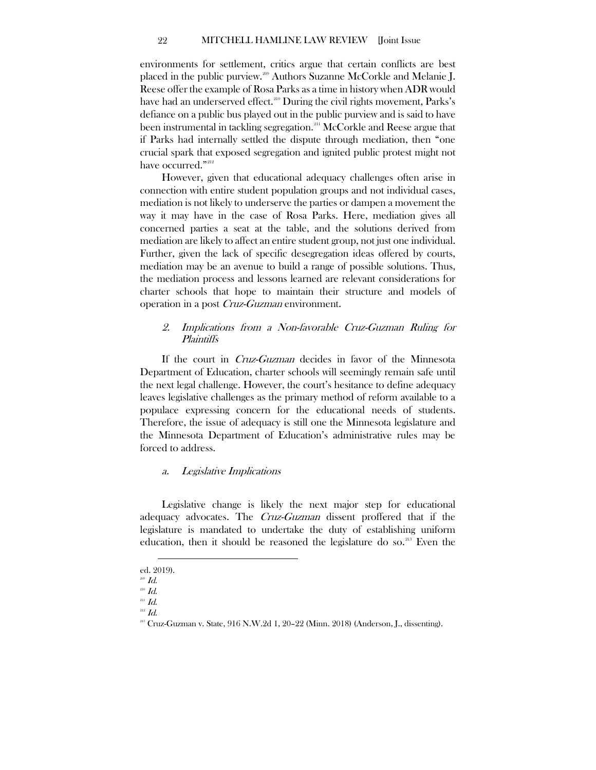environments for settlement, critics argue that certain conflicts are best placed in the public purview.<sup>200</sup> Authors Suzanne McCorkle and Melanie J. Reese offer the example of Rosa Parks as a time in history when ADR would have had an underserved effect.<sup>[210](#page-22-3)</sup> During the civil rights movement, Parks's defiance on a public bus played out in the public purview and is said to have been instrumental in tackling segregation. [211](#page-22-4) McCorkle and Reese argue that if Parks had internally settled the dispute through mediation, then "one crucial spark that exposed segregation and ignited public protest might not have occurred."<sup>[212](#page-22-5)</sup>

However, given that educational adequacy challenges often arise in connection with entire student population groups and not individual cases, mediation is not likely to underserve the parties or dampen a movement the way it may have in the case of Rosa Parks. Here, mediation gives all concerned parties a seat at the table, and the solutions derived from mediation are likely to affect an entire student group, not just one individual. Further, given the lack of specific desegregation ideas offered by courts, mediation may be an avenue to build a range of possible solutions. Thus, the mediation process and lessons learned are relevant considerations for charter schools that hope to maintain their structure and models of operation in a post Cruz-Guzman environment.

# <span id="page-22-0"></span>2. Implications from a Non-favorable Cruz-Guzman Ruling for Plaintiffs

If the court in Cruz-Guzman decides in favor of the Minnesota Department of Education, charter schools will seemingly remain safe until the next legal challenge. However, the court's hesitance to define adequacy leaves legislative challenges as the primary method of reform available to a populace expressing concern for the educational needs of students. Therefore, the issue of adequacy is still one the Minnesota legislature and the Minnesota Department of Education's administrative rules may be forced to address.

# <span id="page-22-1"></span>a. Legislative Implications

Legislative change is likely the next major step for educational adequacy advocates. The *Cruz-Guzman* dissent proffered that if the legislature is mandated to undertake the duty of establishing uniform education, then it should be reasoned the legislature do so.<sup>213</sup> Even the

 $\overline{a}$ ed. 2019).

 $^{209}$  *Id.* 

<span id="page-22-2"></span> $210$  Id.

<span id="page-22-5"></span><span id="page-22-4"></span><span id="page-22-3"></span> $^{211}$  Id.

<span id="page-22-6"></span> $^{212}$   $\mathit{Id}.$ 

 $^{213}$  Cruz-Guzman v. State,  $916$  N.W.2d 1,  $20-22$  (Minn. 2018) (Anderson, J., dissenting).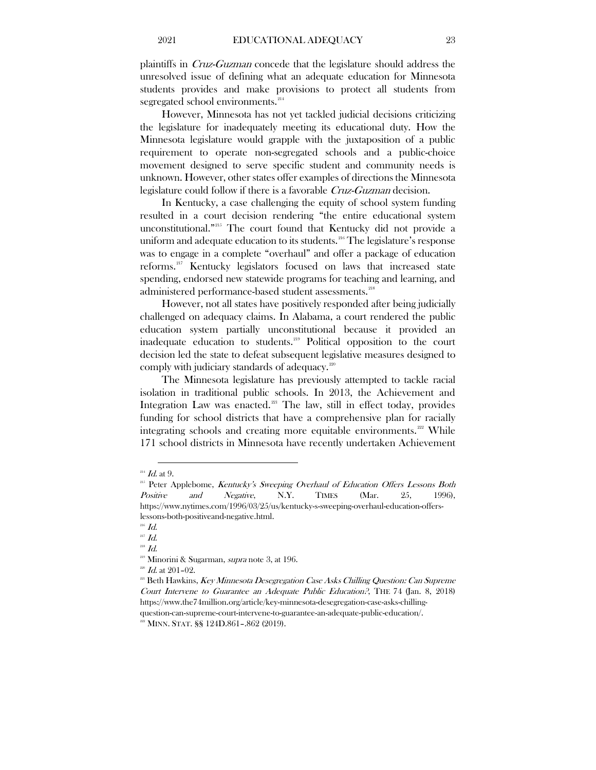plaintiffs in Cruz-Guzman concede that the legislature should address the unresolved issue of defining what an adequate education for Minnesota students provides and make provisions to protect all students from segregated school environments.<sup>[214](#page-23-0)</sup>

However, Minnesota has not yet tackled judicial decisions criticizing the legislature for inadequately meeting its educational duty. How the Minnesota legislature would grapple with the juxtaposition of a public requirement to operate non-segregated schools and a public-choice movement designed to serve specific student and community needs is unknown. However, other states offer examples of directions the Minnesota legislature could follow if there is a favorable *Cruz-Guzman* decision.

In Kentucky, a case challenging the equity of school system funding resulted in a court decision rendering "the entire educational system unconstitutional." [215](#page-23-1) The court found that Kentucky did not provide a uniform and adequate education to its students.<sup>[216](#page-23-2)</sup> The legislature's response was to engage in a complete "overhaul" and offer a package of education reforms.[217](#page-23-3) Kentucky legislators focused on laws that increased state spending, endorsed new statewide programs for teaching and learning, and administered performance-based student assessments.<sup>[218](#page-23-4)</sup>

However, not all states have positively responded after being judicially challenged on adequacy claims. In Alabama, a court rendered the public education system partially unconstitutional because it provided an inadequate education to students.<sup>[219](#page-23-5)</sup> Political opposition to the court decision led the state to defeat subsequent legislative measures designed to comply with judiciary standards of adequacy.[220](#page-23-6)

The Minnesota legislature has previously attempted to tackle racial isolation in traditional public schools. In 2013, the Achievement and Integration Law was enacted.<sup>[221](#page-23-7)</sup> The law, still in effect today, provides funding for school districts that have a comprehensive plan for racially integrating schools and creating more equitable environments.<sup>[222](#page-23-8)</sup> While 171 school districts in Minnesota have recently undertaken Achievement

 $\overline{a}$  $^{214}$  *Id.* at 9.

<span id="page-23-1"></span><span id="page-23-0"></span> $215$  Peter Applebome, Kentucky's Sweeping Overhaul of Education Offers Lessons Both Positive and Negative, N.Y. TIMES (Mar. 25, 1996), https://www.nytimes.com/1996/03/25/us/kentucky-s-sweeping-overhaul-education-offerslessons-both-positiveand-negative.html.

 $^{216}$   $\emph{Id.}$ 

<span id="page-23-3"></span><span id="page-23-2"></span> $^{217}$  Id.

<span id="page-23-5"></span><span id="page-23-4"></span> $^{218}$   $\emph{Id.}$ 

 $219$  Minorini & Sugarman, *supra* note 3, at 196.

 $^{220}$  *Id.* at 201-02.

<span id="page-23-7"></span><span id="page-23-6"></span> $^{221}$  Beth Hawkins, *Key Minnesota Desegregation Case Asks Chilling Question: Can Supreme* Court Intervene to Guarantee an Adequate Public Education?, THE 74 (Jan. 8, 2018) https://www.the74million.org/article/key-minnesota-desegregation-case-asks-chillingquestion-can-supreme-court-intervene-to-guarantee-an-adequate-public-education/.

<span id="page-23-8"></span><sup>222</sup> MINN. STAT. §§ 124D.861–.862 (2019).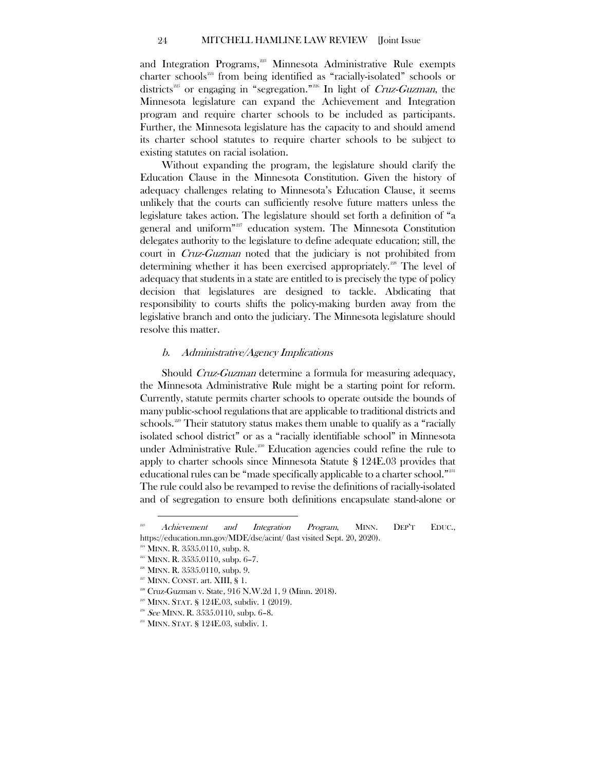and Integration Programs,<sup>[223](#page-24-1)</sup> Minnesota Administrative Rule exempts charter schools<sup>[224](#page-24-2)</sup> from being identified as "racially-isolated" schools or districts<sup>[225](#page-24-3)</sup> or engaging in "segregation."<sup>[226](#page-24-4)</sup> In light of *Cruz-Guzman*, the Minnesota legislature can expand the Achievement and Integration program and require charter schools to be included as participants. Further, the Minnesota legislature has the capacity to and should amend its charter school statutes to require charter schools to be subject to existing statutes on racial isolation.

Without expanding the program, the legislature should clarify the Education Clause in the Minnesota Constitution. Given the history of adequacy challenges relating to Minnesota's Education Clause, it seems unlikely that the courts can sufficiently resolve future matters unless the legislature takes action. The legislature should set forth a definition of "a general and uniform"[227](#page-24-5) education system. The Minnesota Constitution delegates authority to the legislature to define adequate education; still, the court in Cruz-Guzman noted that the judiciary is not prohibited from determining whether it has been exercised appropriately.<sup>[228](#page-24-6)</sup> The level of adequacy that students in a state are entitled to is precisely the type of policy decision that legislatures are designed to tackle. Abdicating that responsibility to courts shifts the policy-making burden away from the legislative branch and onto the judiciary. The Minnesota legislature should resolve this matter.

#### <span id="page-24-0"></span>b. Administrative/Agency Implications

Should Cruz-Guzman determine a formula for measuring adequacy, the Minnesota Administrative Rule might be a starting point for reform. Currently, statute permits charter schools to operate outside the bounds of many public-school regulations that are applicable to traditional districts and schools.<sup>229</sup> Their statutory status makes them unable to qualify as a "racially isolated school district" or as a "racially identifiable school" in Minnesota under Administrative Rule. [230](#page-24-8) Education agencies could refine the rule to apply to charter schools since Minnesota Statute § 124E.03 provides that educational rules can be "made specifically applicable to a charter school."[231](#page-24-9) The rule could also be revamped to revise the definitions of racially-isolated and of segregation to ensure both definitions encapsulate stand-alone or

<span id="page-24-1"></span><sup>&</sup>lt;sup>223</sup> Achievement and Integration Program, MINN. DEP'T EDUC., https://education.mn.gov/MDE/dse/acint/ (last visited Sept. 20, 2020).

<span id="page-24-3"></span><span id="page-24-2"></span><sup>&</sup>lt;sup>224</sup> MINN. R. 3535.0110, subp. 8.

 $225$  MINN. R.  $3535.0110$ , subp. 6-7.

<span id="page-24-4"></span> $226$  MINN. R.  $3535.0110$ , subp. 9.

 $227$  MINN. CONST. art. XIII, § 1.

<span id="page-24-6"></span><span id="page-24-5"></span><sup>228</sup> Cruz-Guzman v. State, 916 N.W.2d 1, 9 (Minn. 2018).

<span id="page-24-7"></span> $229$  MINN. STAT. § 124E.03, subdiv. 1 (2019).

<span id="page-24-8"></span><sup>&</sup>lt;sup>230</sup> See MINN. R.  $3535.0110$ , subp. 6–8.

<span id="page-24-9"></span><sup>&</sup>lt;sup>231</sup> MINN. STAT. § 124E.03, subdiv. 1.